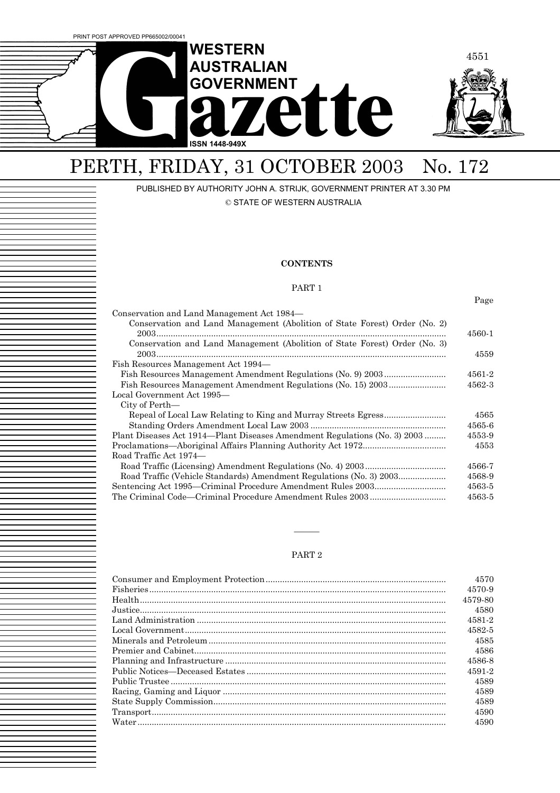

## PERTH, FRIDAY, 31 OCTOBER 2003 No. 172

PUBLISHED BY AUTHORITY JOHN A. STRIJK, GOVERNMENT PRINTER AT 3.30 PM

© STATE OF WESTERN AUSTRALIA

#### **CONTENTS**

#### PART 1

Page

| Conservation and Land Management Act 1984—                                 |        |
|----------------------------------------------------------------------------|--------|
| Conservation and Land Management (Abolition of State Forest) Order (No. 2) |        |
|                                                                            | 4560-1 |
| Conservation and Land Management (Abolition of State Forest) Order (No. 3) |        |
|                                                                            | 4559   |
| Fish Resources Management Act 1994—                                        |        |
|                                                                            | 4561-2 |
|                                                                            | 4562-3 |
| Local Government Act 1995—                                                 |        |
| City of Perth—                                                             |        |
|                                                                            | 4565   |
|                                                                            | 4565-6 |
| Plant Diseases Act 1914—Plant Diseases Amendment Regulations (No. 3) 2003  | 4553-9 |
|                                                                            | 4553   |
| Road Traffic Act 1974—                                                     |        |
|                                                                            | 4566-7 |
| Road Traffic (Vehicle Standards) Amendment Regulations (No. 3) 2003        | 4568-9 |
|                                                                            | 4563-5 |
|                                                                            | 4563-5 |

#### PART 2

óóó

|                                                                                                                                                                                                                                                                                                                                                                                                                                            | 4570    |
|--------------------------------------------------------------------------------------------------------------------------------------------------------------------------------------------------------------------------------------------------------------------------------------------------------------------------------------------------------------------------------------------------------------------------------------------|---------|
|                                                                                                                                                                                                                                                                                                                                                                                                                                            | 4570-9  |
|                                                                                                                                                                                                                                                                                                                                                                                                                                            | 4579-80 |
|                                                                                                                                                                                                                                                                                                                                                                                                                                            | 4580    |
|                                                                                                                                                                                                                                                                                                                                                                                                                                            | 4581-2  |
|                                                                                                                                                                                                                                                                                                                                                                                                                                            | 4582-5  |
|                                                                                                                                                                                                                                                                                                                                                                                                                                            | 4585    |
|                                                                                                                                                                                                                                                                                                                                                                                                                                            | 4586    |
|                                                                                                                                                                                                                                                                                                                                                                                                                                            | 4586-8  |
|                                                                                                                                                                                                                                                                                                                                                                                                                                            | 4591-2  |
|                                                                                                                                                                                                                                                                                                                                                                                                                                            | 4589    |
|                                                                                                                                                                                                                                                                                                                                                                                                                                            | 4589    |
|                                                                                                                                                                                                                                                                                                                                                                                                                                            | 4589    |
| $\label{eq:transport} \texttt{Transport}.\textcolor{red}{\textbf{1:}\textbf{1:}\textbf{2:}\textbf{3:}\textbf{4:}\textbf{5:}\textbf{5:}\textbf{5:}\textbf{6:}\textbf{6:}\textbf{6:}\textbf{6:}\textbf{7:}\textbf{7:}\textbf{8:}\textbf{8:}\textbf{8:}\textbf{9:}\textbf{1:}\textbf{1:}\textbf{1:}\textbf{1:}\textbf{1:}\textbf{1:}\textbf{1:}\textbf{1:}\textbf{1:}\textbf{1:}\textbf{1:}\textbf{1:}\textbf{1:}\textbf{1:}\textbf{1:}\text$ | 4590    |
|                                                                                                                                                                                                                                                                                                                                                                                                                                            | 4590    |
|                                                                                                                                                                                                                                                                                                                                                                                                                                            |         |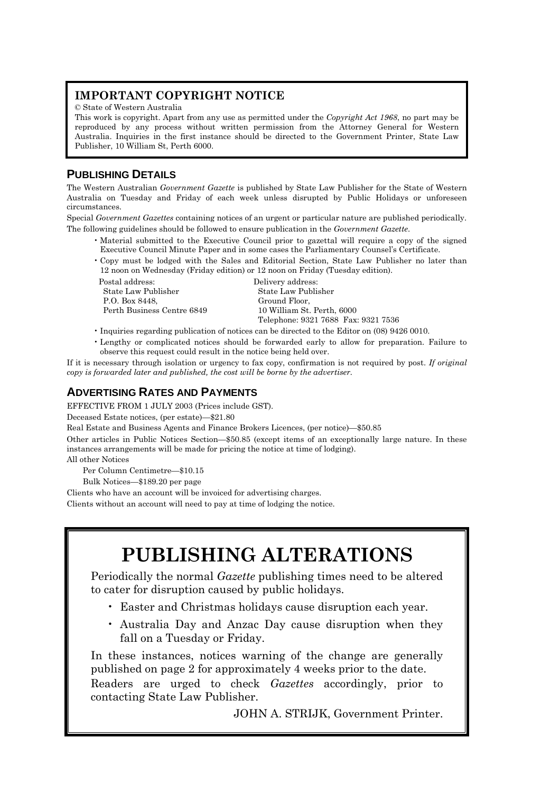### **IMPORTANT COPYRIGHT NOTICE**

© State of Western Australia

This work is copyright. Apart from any use as permitted under the *Copyright Act 1968*, no part may be reproduced by any process without written permission from the Attorney General for Western Australia. Inquiries in the first instance should be directed to the Government Printer, State Law Publisher, 10 William St, Perth 6000.

### **PUBLISHING DETAILS**

The Western Australian *Government Gazette* is published by State Law Publisher for the State of Western Australia on Tuesday and Friday of each week unless disrupted by Public Holidays or unforeseen circumstances.

Special *Government Gazettes* containing notices of an urgent or particular nature are published periodically. The following guidelines should be followed to ensure publication in the *Government Gazette*.

- ï Material submitted to the Executive Council prior to gazettal will require a copy of the signed Executive Council Minute Paper and in some cases the Parliamentary Counselís Certificate.
- ï Copy must be lodged with the Sales and Editorial Section, State Law Publisher no later than 12 noon on Wednesday (Friday edition) or 12 noon on Friday (Tuesday edition).

Postal address: Delivery address: State Law Publisher State Law Publisher P.O. Box 8448, Ground Floor,

 Perth Business Centre 6849 10 William St. Perth, 6000 Telephone: 9321 7688 Fax: 9321 7536

- ï Inquiries regarding publication of notices can be directed to the Editor on (08) 9426 0010.
- ï Lengthy or complicated notices should be forwarded early to allow for preparation. Failure to observe this request could result in the notice being held over.

If it is necessary through isolation or urgency to fax copy, confirmation is not required by post. *If original copy is forwarded later and published, the cost will be borne by the advertiser.*

### **ADVERTISING RATES AND PAYMENTS**

EFFECTIVE FROM 1 JULY 2003 (Prices include GST).

Deceased Estate notices, (per estate)-\$21.80

Real Estate and Business Agents and Finance Brokers Licences, (per notice)–\$50.85

Other articles in Public Notices Section—\$50.85 (except items of an exceptionally large nature. In these instances arrangements will be made for pricing the notice at time of lodging).

All other Notices

Per Column Centimetre-\$10.15

Bulk Notices-\$189.20 per page

Clients who have an account will be invoiced for advertising charges.

Clients without an account will need to pay at time of lodging the notice.

## **PUBLISHING ALTERATIONS**

Periodically the normal *Gazette* publishing times need to be altered to cater for disruption caused by public holidays.

- ï Easter and Christmas holidays cause disruption each year.
- ï Australia Day and Anzac Day cause disruption when they fall on a Tuesday or Friday.

In these instances, notices warning of the change are generally published on page 2 for approximately 4 weeks prior to the date.

Readers are urged to check *Gazettes* accordingly, prior to contacting State Law Publisher.

JOHN A. STRIJK, Government Printer.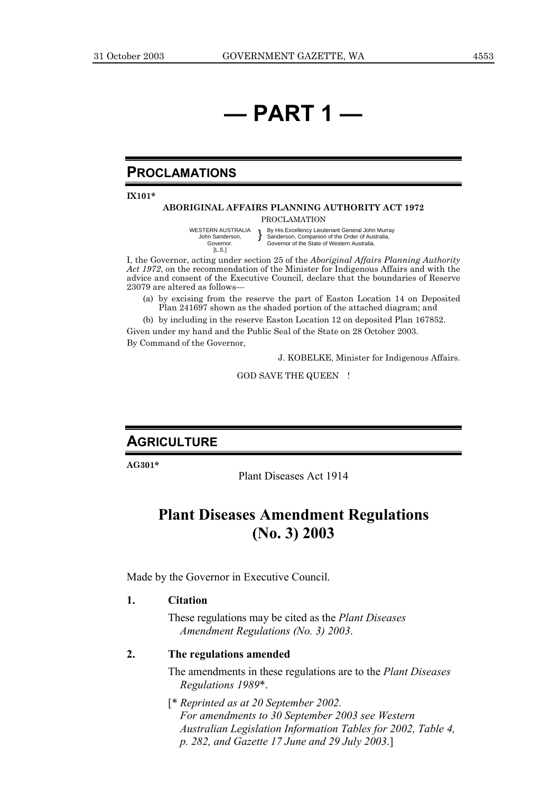## *<u>d</u>* **PART 1**

### **PROCLAMATIONS**

**IX101\***

### **ABORIGINAL AFFAIRS PLANNING AUTHORITY ACT 1972**

PROCLAMATION

WESTERN AUSTRALIA John Sanderson, Governor. [L.S.] } By His Excellency Lieutenant General John Murray Sanderson, Companion of the Order of Australia, Sanderson, Companion of the Order of Australia,<br>Governor of the State of Western Australia.

I, the Governor, acting under section 25 of the *Aboriginal Affairs Planning Authority Act 1972*, on the recommendation of the Minister for Indigenous Affairs and with the advice and consent of the Executive Council, declare that the boundaries of Reserve 23079 are altered as follows-

(a) by excising from the reserve the part of Easton Location 14 on Deposited Plan 241697 shown as the shaded portion of the attached diagram; and

(b) by including in the reserve Easton Location 12 on deposited Plan 167852.

Given under my hand and the Public Seal of the State on 28 October 2003.

By Command of the Governor,

J. KOBELKE, Minister for Indigenous Affairs.

GOD SAVE THE QUEEN !

### **AGRICULTURE**

**AG301\***

Plant Diseases Act 1914

### **Plant Diseases Amendment Regulations (No. 3) 2003**

Made by the Governor in Executive Council.

#### **1. Citation**

These regulations may be cited as the *Plant Diseases Amendment Regulations (No. 3) 2003*.

### **2. The regulations amended**

The amendments in these regulations are to the *Plant Diseases Regulations 1989*\*.

[\* *Reprinted as at 20 September 2002. For amendments to 30 September 2003 see Western Australian Legislation Information Tables for 2002, Table 4, p. 282, and Gazette 17 June and 29 July 2003*.]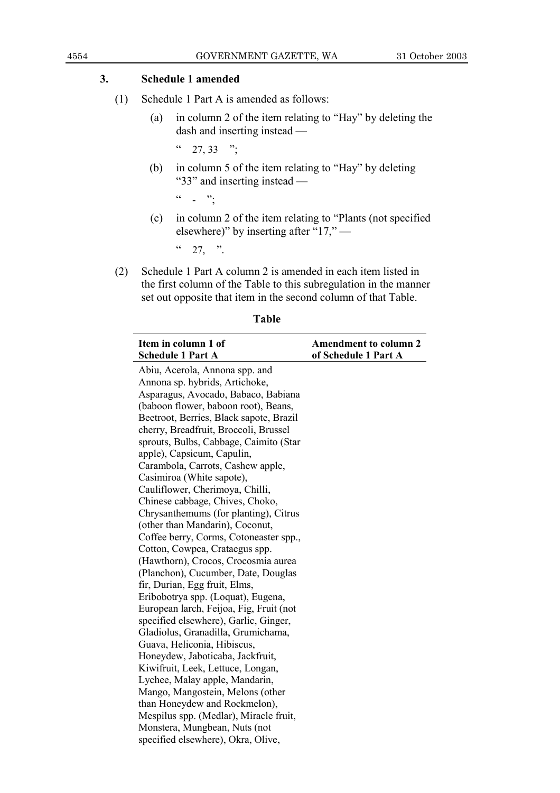### **3. Schedule 1 amended**

- (1) Schedule 1 Part A is amended as follows:
	- (a) in column 2 of the item relating to "Hay" by deleting the dash and inserting instead  $-$

 $\frac{1}{27}$ , 33  $\frac{1}{27}$ 

(b) in column 5 of the item relating to "Hay" by deleting  $"33"$  and inserting instead  $-$ 

 $\frac{1}{2}$   $\frac{1}{2}$   $\frac{1}{2}$ 

 $(c)$  in column 2 of the item relating to "Plants (not specified elsewhere)" by inserting after "17,"  $-$ 

 $\frac{1}{27}$  .

(2) Schedule 1 Part A column 2 is amended in each item listed in the first column of the Table to this subregulation in the manner set out opposite that item in the second column of that Table.

| Item in column 1 of                     | <b>Amendment to column 2</b> |
|-----------------------------------------|------------------------------|
| <b>Schedule 1 Part A</b>                | of Schedule 1 Part A         |
| Abiu, Acerola, Annona spp. and          |                              |
| Annona sp. hybrids, Artichoke,          |                              |
| Asparagus, Avocado, Babaco, Babiana     |                              |
| (baboon flower, baboon root), Beans,    |                              |
| Beetroot, Berries, Black sapote, Brazil |                              |
| cherry, Breadfruit, Broccoli, Brussel   |                              |
| sprouts, Bulbs, Cabbage, Caimito (Star  |                              |
| apple), Capsicum, Capulin,              |                              |
| Carambola, Carrots, Cashew apple,       |                              |
| Casimiroa (White sapote),               |                              |
| Cauliflower, Cherimoya, Chilli,         |                              |
| Chinese cabbage, Chives, Choko,         |                              |
| Chrysanthemums (for planting), Citrus   |                              |
| (other than Mandarin), Coconut,         |                              |
| Coffee berry, Corms, Cotoneaster spp.,  |                              |
| Cotton, Cowpea, Crataegus spp.          |                              |
| (Hawthorn), Crocos, Crocosmia aurea     |                              |
| (Planchon), Cucumber, Date, Douglas     |                              |
| fir, Durian, Egg fruit, Elms,           |                              |
| Eribobotrya spp. (Loquat), Eugena,      |                              |
| European larch, Feijoa, Fig, Fruit (not |                              |
| specified elsewhere), Garlic, Ginger,   |                              |
| Gladiolus, Granadilla, Grumichama,      |                              |
| Guava, Heliconia, Hibiscus,             |                              |
| Honeydew, Jaboticaba, Jackfruit,        |                              |
| Kiwifruit, Leek, Lettuce, Longan,       |                              |
| Lychee, Malay apple, Mandarin,          |                              |
| Mango, Mangostein, Melons (other        |                              |
| than Honeydew and Rockmelon),           |                              |
| Mespilus spp. (Medlar), Miracle fruit,  |                              |
| Monstera, Mungbean, Nuts (not           |                              |
| specified elsewhere), Okra, Olive,      |                              |

### **Table**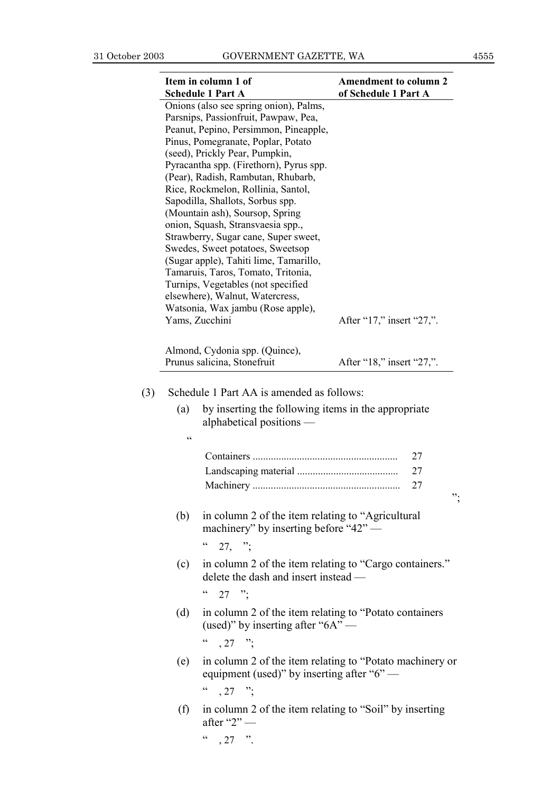|     | Item in column 1 of                                                                                                                                                                                                                                                                                                                                                                                                                                                                                    | <b>Amendment to column 2</b> |
|-----|--------------------------------------------------------------------------------------------------------------------------------------------------------------------------------------------------------------------------------------------------------------------------------------------------------------------------------------------------------------------------------------------------------------------------------------------------------------------------------------------------------|------------------------------|
|     | <b>Schedule 1 Part A</b><br>Onions (also see spring onion), Palms,<br>Parsnips, Passionfruit, Pawpaw, Pea,<br>Peanut, Pepino, Persimmon, Pineapple,<br>Pinus, Pomegranate, Poplar, Potato<br>(seed), Prickly Pear, Pumpkin,<br>Pyracantha spp. (Firethorn), Pyrus spp.<br>(Pear), Radish, Rambutan, Rhubarb,<br>Rice, Rockmelon, Rollinia, Santol,<br>Sapodilla, Shallots, Sorbus spp.<br>(Mountain ash), Soursop, Spring<br>onion, Squash, Stransvaesia spp.,<br>Strawberry, Sugar cane, Super sweet, | of Schedule 1 Part A         |
|     | Swedes, Sweet potatoes, Sweetsop<br>(Sugar apple), Tahiti lime, Tamarillo,<br>Tamaruis, Taros, Tomato, Tritonia,<br>Turnips, Vegetables (not specified<br>elsewhere), Walnut, Watercress,<br>Watsonia, Wax jambu (Rose apple),                                                                                                                                                                                                                                                                         |                              |
|     | Yams, Zucchini                                                                                                                                                                                                                                                                                                                                                                                                                                                                                         | After "17," insert "27,".    |
|     | Almond, Cydonia spp. (Quince),<br>Prunus salicina, Stonefruit                                                                                                                                                                                                                                                                                                                                                                                                                                          | After "18," insert "27,".    |
|     | Schedule 1 Part AA is amended as follows:                                                                                                                                                                                                                                                                                                                                                                                                                                                              |                              |
| (a) | by inserting the following items in the appropriate<br>alphabetical positions —                                                                                                                                                                                                                                                                                                                                                                                                                        |                              |
| cc  |                                                                                                                                                                                                                                                                                                                                                                                                                                                                                                        |                              |
|     |                                                                                                                                                                                                                                                                                                                                                                                                                                                                                                        |                              |
|     |                                                                                                                                                                                                                                                                                                                                                                                                                                                                                                        | 27<br>27                     |
|     |                                                                                                                                                                                                                                                                                                                                                                                                                                                                                                        | 27<br>".                     |
| (b) | in column 2 of the item relating to "Agricultural"<br>machinery" by inserting before "42" —<br>$\epsilon$<br>$27,$ "                                                                                                                                                                                                                                                                                                                                                                                   |                              |
| (c) | in column 2 of the item relating to "Cargo containers."<br>delete the dash and insert instead —                                                                                                                                                                                                                                                                                                                                                                                                        |                              |
| (d) | $\frac{1}{27}$<br>in column 2 of the item relating to "Potato containers"<br>(used)" by inserting after " $6A"$ —                                                                                                                                                                                                                                                                                                                                                                                      |                              |
| (e) | $\frac{1}{27}$ . 27<br>in column 2 of the item relating to "Potato machinery or<br>equipment (used)" by inserting after "6" —<br>$\epsilon$<br>$, 27$ "                                                                                                                                                                                                                                                                                                                                                |                              |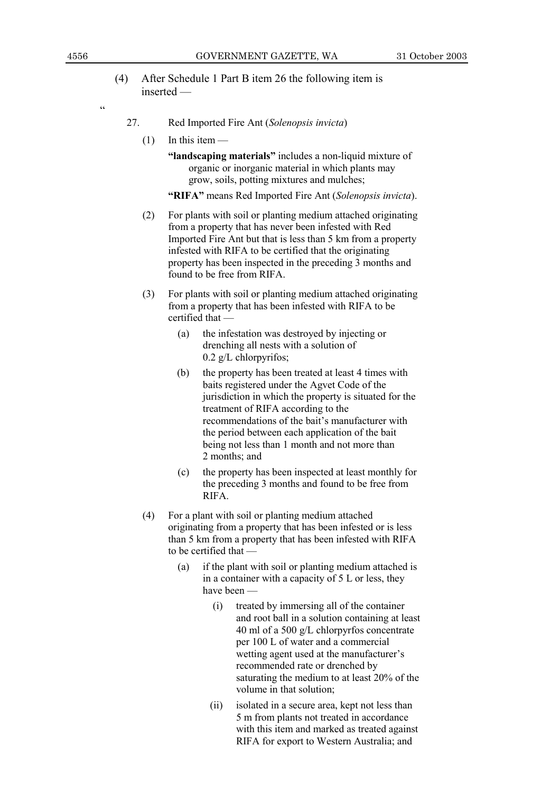### (4) After Schedule 1 Part B item 26 the following item is  $inserted$  —

ì

- 27. Red Imported Fire Ant (*Solenopsis invicta*)
	- $(1)$  In this item  $-$ 
		- **"landscaping materials"** includes a non-liquid mixture of organic or inorganic material in which plants may grow, soils, potting mixtures and mulches;

**ìRIFAî** means Red Imported Fire Ant (*Solenopsis invicta*).

- (2) For plants with soil or planting medium attached originating from a property that has never been infested with Red Imported Fire Ant but that is less than 5 km from a property infested with RIFA to be certified that the originating property has been inspected in the preceding 3 months and found to be free from RIFA.
- (3) For plants with soil or planting medium attached originating from a property that has been infested with RIFA to be  $c$ ertified that  $-$ 
	- (a) the infestation was destroyed by injecting or drenching all nests with a solution of 0.2 g/L chlorpyrifos;
	- (b) the property has been treated at least 4 times with baits registered under the Agvet Code of the jurisdiction in which the property is situated for the treatment of RIFA according to the recommendations of the bait's manufacturer with the period between each application of the bait being not less than 1 month and not more than 2 months; and
	- (c) the property has been inspected at least monthly for the preceding 3 months and found to be free from RIFA.
- (4) For a plant with soil or planting medium attached originating from a property that has been infested or is less than 5 km from a property that has been infested with RIFA to be certified that  $-$ 
	- (a) if the plant with soil or planting medium attached is in a container with a capacity of 5 L or less, they have been -
		- (i) treated by immersing all of the container and root ball in a solution containing at least 40 ml of a 500 g/L chlorpyrfos concentrate per 100 L of water and a commercial wetting agent used at the manufacturer's recommended rate or drenched by saturating the medium to at least 20% of the volume in that solution;
		- (ii) isolated in a secure area, kept not less than 5 m from plants not treated in accordance with this item and marked as treated against RIFA for export to Western Australia; and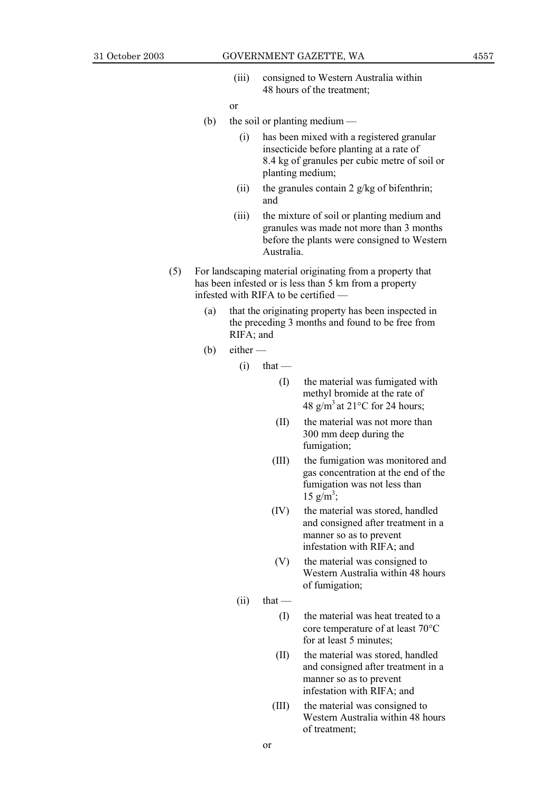(iii) consigned to Western Australia within 48 hours of the treatment;

or

- (b) the soil or planting medium  $\frac{1}{x}$ 
	- (i) has been mixed with a registered granular insecticide before planting at a rate of 8.4 kg of granules per cubic metre of soil or planting medium;
	- (ii) the granules contain 2  $g/kg$  of bifenthrin; and
	- (iii) the mixture of soil or planting medium and granules was made not more than 3 months before the plants were consigned to Western Australia.
- (5) For landscaping material originating from a property that has been infested or is less than 5 km from a property infested with RIFA to be certified  $-$ 
	- (a) that the originating property has been inspected in the preceding 3 months and found to be free from RIFA; and
	- (b) either  $-$

 $(i)$  that —

- (I) the material was fumigated with methyl bromide at the rate of 48  $g/m^3$  at 21 $\degree$ C for 24 hours;
- (II) the material was not more than 300 mm deep during the fumigation;
- (III) the fumigation was monitored and gas concentration at the end of the fumigation was not less than  $15 \text{ g/m}^3$ ;
- (IV) the material was stored, handled and consigned after treatment in a manner so as to prevent infestation with RIFA; and
- (V) the material was consigned to Western Australia within 48 hours of fumigation;
- $(ii)$  that
	- (I) the material was heat treated to a core temperature of at least 70°C for at least 5 minutes;
	- (II) the material was stored, handled and consigned after treatment in a manner so as to prevent infestation with RIFA; and
	- (III) the material was consigned to Western Australia within 48 hours of treatment;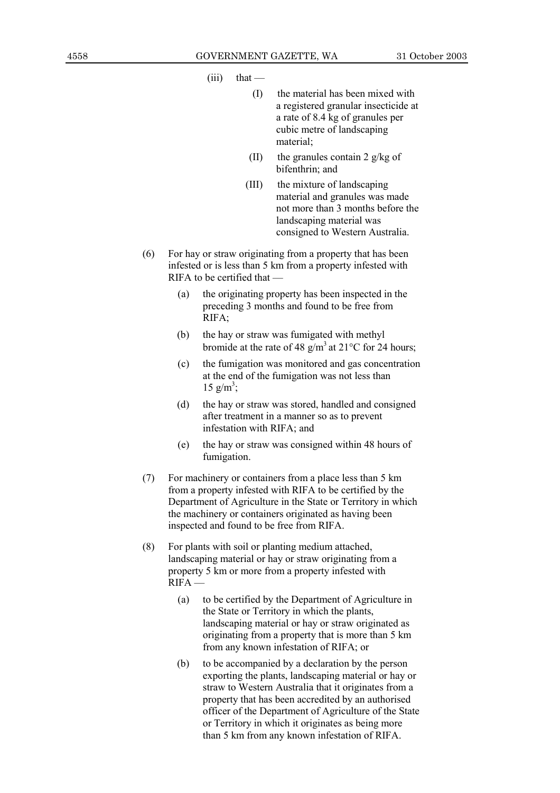$(iii)$  that  $-$ 

- (I) the material has been mixed with a registered granular insecticide at a rate of 8.4 kg of granules per cubic metre of landscaping material;
- (II) the granules contain 2  $g/kg$  of bifenthrin; and
- (III) the mixture of landscaping material and granules was made not more than 3 months before the landscaping material was consigned to Western Australia.
- (6) For hay or straw originating from a property that has been infested or is less than 5 km from a property infested with  $R$  IFA to be certified that  $\equiv$ 
	- (a) the originating property has been inspected in the preceding 3 months and found to be free from RIFA;
	- (b) the hay or straw was fumigated with methyl bromide at the rate of 48 g/m<sup>3</sup> at 21<sup>o</sup>C for 24 hours;
	- (c) the fumigation was monitored and gas concentration at the end of the fumigation was not less than  $15 \text{ g/m}^3$ ;
	- (d) the hay or straw was stored, handled and consigned after treatment in a manner so as to prevent infestation with RIFA; and
	- (e) the hay or straw was consigned within 48 hours of fumigation.
- (7) For machinery or containers from a place less than 5 km from a property infested with RIFA to be certified by the Department of Agriculture in the State or Territory in which the machinery or containers originated as having been inspected and found to be free from RIFA.
- (8) For plants with soil or planting medium attached, landscaping material or hay or straw originating from a property 5 km or more from a property infested with  $R$ IFA  $-$ 
	- (a) to be certified by the Department of Agriculture in the State or Territory in which the plants, landscaping material or hay or straw originated as originating from a property that is more than 5 km from any known infestation of RIFA; or
	- (b) to be accompanied by a declaration by the person exporting the plants, landscaping material or hay or straw to Western Australia that it originates from a property that has been accredited by an authorised officer of the Department of Agriculture of the State or Territory in which it originates as being more than 5 km from any known infestation of RIFA.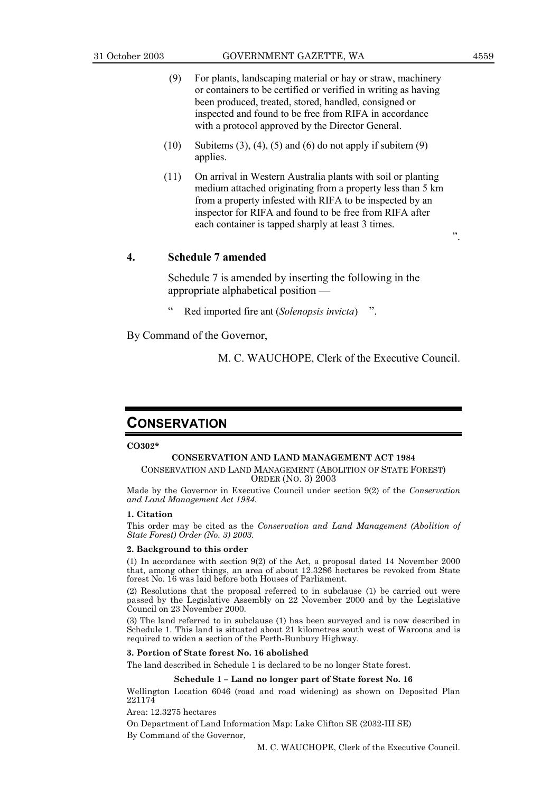- (9) For plants, landscaping material or hay or straw, machinery or containers to be certified or verified in writing as having been produced, treated, stored, handled, consigned or inspected and found to be free from RIFA in accordance with a protocol approved by the Director General.
- $(10)$  Subitems  $(3)$ ,  $(4)$ ,  $(5)$  and  $(6)$  do not apply if subitem  $(9)$ applies.
- (11) On arrival in Western Australia plants with soil or planting medium attached originating from a property less than 5 km from a property infested with RIFA to be inspected by an inspector for RIFA and found to be free from RIFA after each container is tapped sharply at least 3 times.

#### **4. Schedule 7 amended**

Schedule 7 is amended by inserting the following in the appropriate alphabetical position  $-\frac{1}{2}$ 

Red imported fire ant *(Solenopsis invicta)* 

By Command of the Governor,

M. C. WAUCHOPE, Clerk of the Executive Council.

### **CONSERVATION**

#### **CO302\***

#### **CONSERVATION AND LAND MANAGEMENT ACT 1984** CONSERVATION AND LAND MANAGEMENT (ABOLITION OF STATE FOREST) ORDER (NO. 3) 2003

Made by the Governor in Executive Council under section 9(2) of the *Conservation and Land Management Act 1984*.

#### **1. Citation**

This order may be cited as the *Conservation and Land Management (Abolition of State Forest) Order (No. 3) 2003*.

#### **2. Background to this order**

(1) In accordance with section 9(2) of the Act, a proposal dated 14 November 2000 that, among other things, an area of about 12.3286 hectares be revoked from State forest No. 16 was laid before both Houses of Parliament.

(2) Resolutions that the proposal referred to in subclause (1) be carried out were passed by the Legislative Assembly on 22 November 2000 and by the Legislative Council on 23 November 2000.

(3) The land referred to in subclause (1) has been surveyed and is now described in Schedule 1. This land is situated about 21 kilometres south west of Waroona and is required to widen a section of the Perth-Bunbury Highway.

#### **3. Portion of State forest No. 16 abolished**

The land described in Schedule 1 is declared to be no longer State forest.

#### **Schedule 1 - Land no longer part of State forest No. 16**

Wellington Location 6046 (road and road widening) as shown on Deposited Plan 221174

Area: 12.3275 hectares

On Department of Land Information Map: Lake Clifton SE (2032-III SE) By Command of the Governor,

M. C. WAUCHOPE, Clerk of the Executive Council.

î.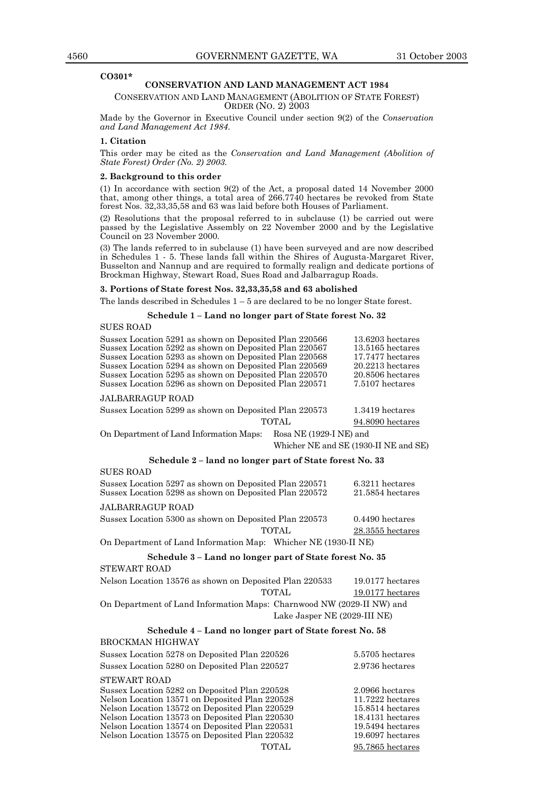#### **CO301\***

#### **CONSERVATION AND LAND MANAGEMENT ACT 1984**

CONSERVATION AND LAND MANAGEMENT (ABOLITION OF STATE FOREST) ORDER (NO. 2) 2003

Made by the Governor in Executive Council under section 9(2) of the *Conservation and Land Management Act 1984*.

#### **1. Citation**

This order may be cited as the *Conservation and Land Management (Abolition of State Forest) Order (No. 2) 2003.*

#### **2. Background to this order**

(1) In accordance with section 9(2) of the Act, a proposal dated 14 November 2000 that, among other things, a total area of 266.7740 hectares be revoked from State forest Nos. 32,33,35,58 and 63 was laid before both Houses of Parliament.

(2) Resolutions that the proposal referred to in subclause (1) be carried out were passed by the Legislative Assembly on 22 November 2000 and by the Legislative Council on 23 November 2000.

(3) The lands referred to in subclause (1) have been surveyed and are now described in Schedules 1 - 5. These lands fall within the Shires of Augusta-Margaret River, Busselton and Nannup and are required to formally realign and dedicate portions of Brockman Highway, Stewart Road, Sues Road and Jalbarragup Roads.

#### **3. Portions of State forest Nos. 32,33,35,58 and 63 abolished**

The lands described in Schedules  $1 - 5$  are declared to be no longer State forest.

#### Schedule 1 - Land no longer part of State forest No. 32

SUES ROAD

| Sussex Location 5291 as shown on Deposited Plan 220566<br>Sussex Location 5292 as shown on Deposited Plan 220567<br>Sussex Location 5293 as shown on Deposited Plan 220568<br>Sussex Location 5294 as shown on Deposited Plan 220569<br>Sussex Location 5295 as shown on Deposited Plan 220570<br>Sussex Location 5296 as shown on Deposited Plan 220571 |                                       | 13.6203 hectares<br>$13.5165$ hectares<br>17.7477 hectares<br>$20.2213$ hectares<br>$20.8506$ hectares<br>7.5107 hectares |
|----------------------------------------------------------------------------------------------------------------------------------------------------------------------------------------------------------------------------------------------------------------------------------------------------------------------------------------------------------|---------------------------------------|---------------------------------------------------------------------------------------------------------------------------|
| <b>JALBARRAGUP ROAD</b>                                                                                                                                                                                                                                                                                                                                  |                                       |                                                                                                                           |
| Sussex Location 5299 as shown on Deposited Plan 220573                                                                                                                                                                                                                                                                                                   |                                       | 1.3419 hectares                                                                                                           |
|                                                                                                                                                                                                                                                                                                                                                          | <b>TOTAL</b>                          | 94.8090 hectares                                                                                                          |
| On Department of Land Information Maps:                                                                                                                                                                                                                                                                                                                  | Rosa NE (1929-I NE) and               |                                                                                                                           |
|                                                                                                                                                                                                                                                                                                                                                          | Whicher NE and SE (1930-II NE and SE) |                                                                                                                           |
| Schedule 2 – land no longer part of State forest No. 33                                                                                                                                                                                                                                                                                                  |                                       |                                                                                                                           |
| <b>SUES ROAD</b>                                                                                                                                                                                                                                                                                                                                         |                                       |                                                                                                                           |
| Sussex Location 5297 as shown on Deposited Plan 220571<br>Sussex Location 5298 as shown on Deposited Plan 220572                                                                                                                                                                                                                                         |                                       | 6.3211 hectares<br>$21.5854$ hectares                                                                                     |
| <b>JALBARRAGUP ROAD</b>                                                                                                                                                                                                                                                                                                                                  |                                       |                                                                                                                           |
| Sussex Location 5300 as shown on Deposited Plan 220573                                                                                                                                                                                                                                                                                                   |                                       | $0.4490$ hectares                                                                                                         |
|                                                                                                                                                                                                                                                                                                                                                          | <b>TOTAL</b>                          | 28.3555 hectares                                                                                                          |
| On Department of Land Information Map: Whicher NE (1930-II NE)                                                                                                                                                                                                                                                                                           |                                       |                                                                                                                           |
| Schedule 3 - Land no longer part of State forest No. 35                                                                                                                                                                                                                                                                                                  |                                       |                                                                                                                           |
| <b>STEWART ROAD</b>                                                                                                                                                                                                                                                                                                                                      |                                       |                                                                                                                           |
| Nelson Location 13576 as shown on Deposited Plan 220533                                                                                                                                                                                                                                                                                                  |                                       | $19.0177$ hectares                                                                                                        |
|                                                                                                                                                                                                                                                                                                                                                          | <b>TOTAL</b>                          | $19.0177$ hectares                                                                                                        |
| On Department of Land Information Maps: Charnwood NW (2029-II NW) and                                                                                                                                                                                                                                                                                    |                                       |                                                                                                                           |
|                                                                                                                                                                                                                                                                                                                                                          | Lake Jasper NE (2029-III NE)          |                                                                                                                           |
| Schedule 4 - Land no longer part of State forest No. 58                                                                                                                                                                                                                                                                                                  |                                       |                                                                                                                           |
| <b>BROCKMAN HIGHWAY</b>                                                                                                                                                                                                                                                                                                                                  |                                       |                                                                                                                           |
| Sussex Location 5278 on Deposited Plan 220526                                                                                                                                                                                                                                                                                                            |                                       | 5.5705 hectares                                                                                                           |
| Sussex Location 5280 on Deposited Plan 220527                                                                                                                                                                                                                                                                                                            |                                       | 2.9736 hectares                                                                                                           |
| <b>STEWART ROAD</b><br>Sussex Location 5282 on Deposited Plan 220528<br>Nelson Location 13571 on Deposited Plan 220528<br>Nelson Location 13572 on Deposited Plan 220529<br>Nelson Location 13573 on Deposited Plan 220530                                                                                                                               |                                       | 2.0966 hectares<br>11.7222 hectares<br>15.8514 hectares<br>18.4131 hectares                                               |

Nelson Location 13574 on Deposited Plan 220531 19.5494 hectares<br>Nelson Location 13575 on Deposited Plan 220532 19.6097 hectares

TOTAL 95.7865 hectares

Nelson Location 13575 on Deposited Plan 220532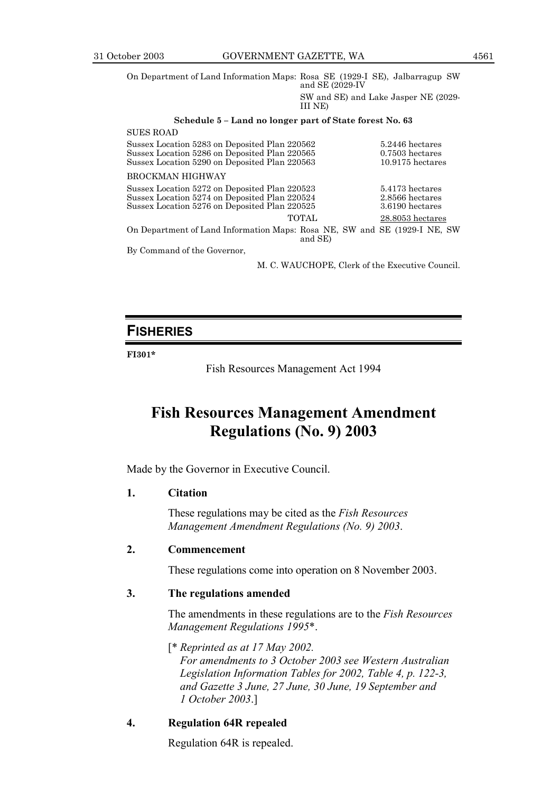$\sigma$ 

On Department of Land Information Maps: Rosa SE (1929-I SE), Jalbarragup SW and SE (2029-IV

> SW and SE) and Lake Jasper NE (2029- III NE)

#### Schedule 5 - Land no longer part of State forest No. 63

| SUES ROAD                                                                 |                    |
|---------------------------------------------------------------------------|--------------------|
| Sussex Location 5283 on Deposited Plan 220562                             | 5.2446 hectares    |
| Sussex Location 5286 on Deposited Plan 220565                             | $0.7503$ hectares  |
| Sussex Location 5290 on Deposited Plan 220563                             | $10.9175$ hectares |
| BROCKMAN HIGHWAY                                                          |                    |
| Sussex Location 5272 on Deposited Plan 220523                             | 5.4173 hectares    |
| Sussex Location 5274 on Deposited Plan 220524                             | 2.8566 hectares    |
| Sussex Location 5276 on Deposited Plan 220525                             | 3.6190 hectares    |
| <b>TOTAL</b>                                                              | 28.8053 hectares   |
| On Department of Land Information Maps: Rosa NE, SW and SE (1929-I NE, SW |                    |
| and SE)                                                                   |                    |
| By Command of the Governor,                                               |                    |

M. C. WAUCHOPE, Clerk of the Executive Council.

### **FISHERIES**

#### **FI301\***

Fish Resources Management Act 1994

### **Fish Resources Management Amendment Regulations (No. 9) 2003**

Made by the Governor in Executive Council.

### **1. Citation**

These regulations may be cited as the *Fish Resources Management Amendment Regulations (No. 9) 2003*.

### **2. Commencement**

These regulations come into operation on 8 November 2003.

### **3. The regulations amended**

The amendments in these regulations are to the *Fish Resources Management Regulations 1995*\*.

[\* *Reprinted as at 17 May 2002. For amendments to 3 October 2003 see Western Australian Legislation Information Tables for 2002, Table 4, p. 122-3, and Gazette 3 June, 27 June, 30 June, 19 September and 1 October 2003*.]

### **4. Regulation 64R repealed**

Regulation 64R is repealed.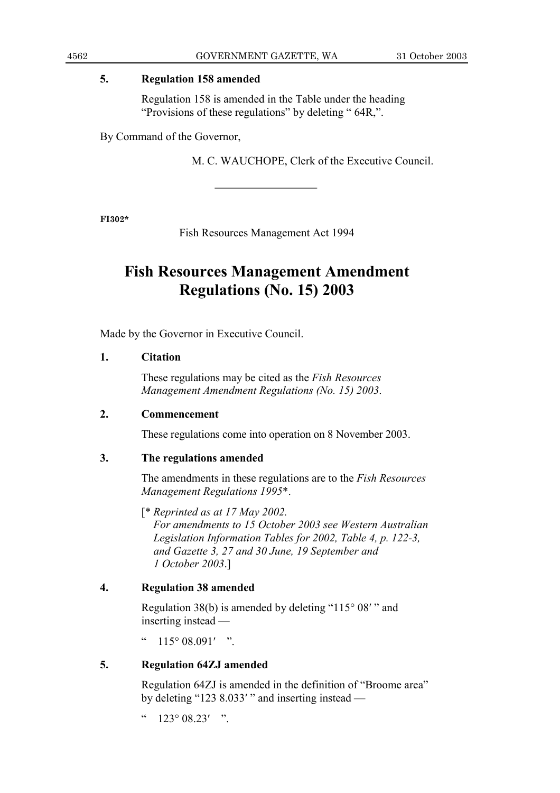### **5. Regulation 158 amended**

Regulation 158 is amended in the Table under the heading "Provisions of these regulations" by deleting " $64R$ ,".

By Command of the Governor,

M. C. WAUCHOPE, Clerk of the Executive Council.

**FI302\***

Fish Resources Management Act 1994

### **Fish Resources Management Amendment Regulations (No. 15) 2003**

Made by the Governor in Executive Council.

### **1. Citation**

These regulations may be cited as the *Fish Resources Management Amendment Regulations (No. 15) 2003*.

### **2. Commencement**

These regulations come into operation on 8 November 2003.

### **3. The regulations amended**

The amendments in these regulations are to the *Fish Resources Management Regulations 1995*\*.

[\* *Reprinted as at 17 May 2002. For amendments to 15 October 2003 see Western Australian Legislation Information Tables for 2002, Table 4, p. 122-3, and Gazette 3, 27 and 30 June, 19 September and 1 October 2003*.]

### **4. Regulation 38 amended**

Regulation 38(b) is amended by deleting " $115°08'$ " and inserting instead  $-$ 

 $\degree$  115° 08.091′ "

### **5. Regulation 64ZJ amended**

Regulation 64ZJ is amended in the definition of "Broome area" by deleting "123 8.033′ " and inserting instead  $\sim$ 

 $123^\circ 08.23'$  ".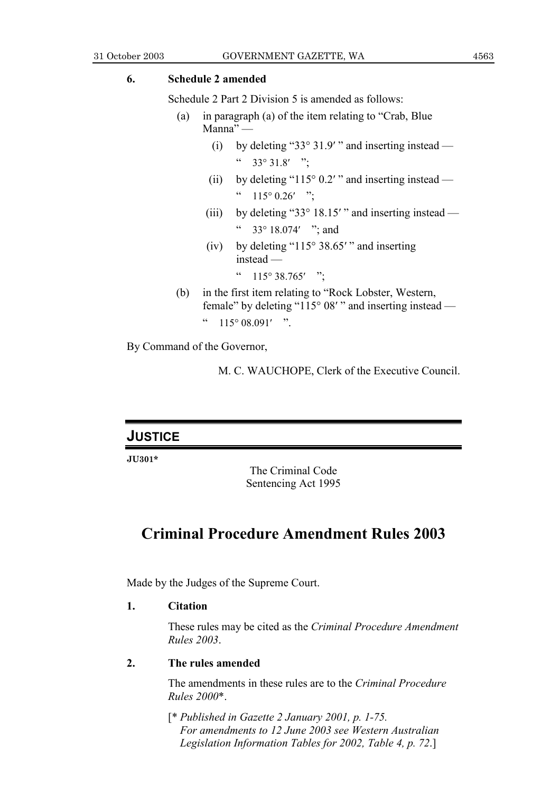### **6. Schedule 2 amended**

Schedule 2 Part 2 Division 5 is amended as follows:

- (a) in paragraph (a) of the item relating to "Crab, Blue"  $Manna''$  —
	- (i) by deleting "33° 31.9′ " and inserting instead  $\rightarrow$  $\frac{1}{2}$  33° 31.8′ <sup>?</sup>;
	- (ii) by deleting "115° 0.2′ " and inserting instead  $\degree$  115° 0.26′ ";
	- (iii) by deleting "33° 18.15' " and inserting instead  $\sim$ 33 $\degree$  18.074′ "; and
	- (iv) by deleting " $115^{\circ}$  38.65' " and inserting  $instead -$ 
		- $\frac{115^{\circ}38.765'}{$  ":
- $(b)$  in the first item relating to "Rock Lobster, Western, female" by deleting "115° 08′ " and inserting instead  $\degree$  115° 08.091′ ".

By Command of the Governor,

M. C. WAUCHOPE, Clerk of the Executive Council.

### **JUSTICE**

**JU301\***

The Criminal Code Sentencing Act 1995

### **Criminal Procedure Amendment Rules 2003**

Made by the Judges of the Supreme Court.

### **1. Citation**

These rules may be cited as the *Criminal Procedure Amendment Rules 2003*.

### **2. The rules amended**

The amendments in these rules are to the *Criminal Procedure Rules 2000*\*.

[\* *Published in Gazette 2 January 2001, p. 1-75. For amendments to 12 June 2003 see Western Australian Legislation Information Tables for 2002, Table 4, p. 72*.]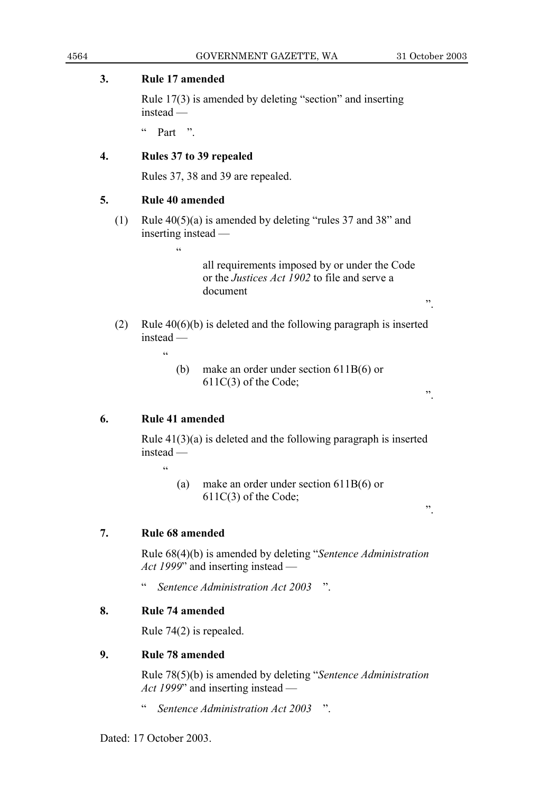### **3. Rule 17 amended**

Rule  $17(3)$  is amended by deleting "section" and inserting  $instead -$ 

 $\frac{1}{2}$  Part  $\frac{1}{2}$ 

### **4. Rules 37 to 39 repealed**

Rules 37, 38 and 39 are repealed.

### **5. Rule 40 amended**

(1) Rule  $40(5)(a)$  is amended by deleting "rules 37 and 38" and inserting instead  $-$ 

ì

all requirements imposed by or under the Code or the *Justices Act 1902* to file and serve a document

- (2) Rule 40(6)(b) is deleted and the following paragraph is inserted  $instead$ 
	- ì
- (b) make an order under section 611B(6) or 611C(3) of the Code;

### **6. Rule 41 amended**

Rule 41(3)(a) is deleted and the following paragraph is inserted  $instead -$ 

ì

(a) make an order under section 611B(6) or 611C(3) of the Code;

### **7. Rule 68 amended**

Rule 68(4)(b) is amended by deleting "*Sentence Administration Act 1999*" and inserting instead —

<sup>"</sup> *Sentence Administration Act 2003* "

### **8. Rule 74 amended**

Rule 74(2) is repealed.

### **9. Rule 78 amended**

Rule 78(5)(b) is amended by deleting *''Sentence Administration Act 1999*<sup>*n*</sup> and inserting instead —

<sup>4</sup> *Sentence Administration Act 2003* <sup>*m*</sup>

 $\ddot{\phantom{0}}$ 

 $\ddot{\phantom{0}}$ .

î.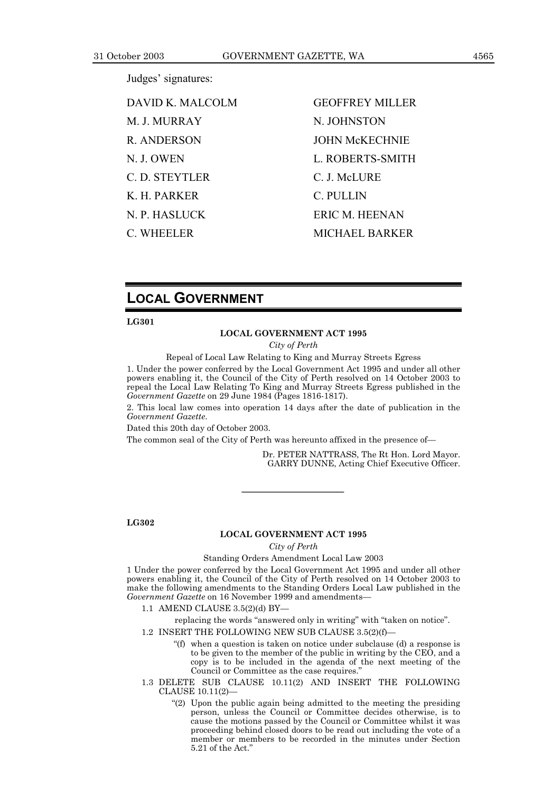Judges' signatures:

DAVID K. MALCOLM GEOFFREY MILLER M J. MURRAY N. JOHNSTON R. ANDERSON JOHN McKECHNIE N. J. OWEN L. ROBERTS-SMITH C. D. STEYTLER C. J. McLURE K. H. PARKER C. PULLIN N. P. HASLUCK ERIC M. HEENAN

C. WHEELER MICHAEL BARKER

### **LOCAL GOVERNMENT**

#### **LG301**

#### **LOCAL GOVERNMENT ACT 1995**

*City of Perth*

Repeal of Local Law Relating to King and Murray Streets Egress

1. Under the power conferred by the Local Government Act 1995 and under all other powers enabling it, the Council of the City of Perth resolved on 14 October 2003 to repeal the Local Law Relating To King and Murray Streets Egress published in the *Government Gazette* on 29 June 1984 (Pages 1816-1817).

2. This local law comes into operation 14 days after the date of publication in the *Government Gazette*.

Dated this 20th day of October 2003.

The common seal of the City of Perth was hereunto affixed in the presence of-

Dr. PETER NATTRASS, The Rt Hon. Lord Mayor. GARRY DUNNE, Acting Chief Executive Officer.

**LG302**

#### **LOCAL GOVERNMENT ACT 1995**

*City of Perth*

#### Standing Orders Amendment Local Law 2003

1 Under the power conferred by the Local Government Act 1995 and under all other powers enabling it, the Council of the City of Perth resolved on 14 October 2003 to make the following amendments to the Standing Orders Local Law published in the *Government Gazette* on 16 November 1999 and amendments

1.1 AMEND CLAUSE  $3.5(2)(d)$  BY-

replacing the words "answered only in writing" with "taken on notice".

- 1.2 INSERT THE FOLLOWING NEW SUB CLAUSE  $3.5(2)(f)$ 
	- $f(f)$  when a question is taken on notice under subclause (d) a response is to be given to the member of the public in writing by the CEO, and a copy is to be included in the agenda of the next meeting of the Council or Committee as the case requires.'
- 1.3 DELETE SUB CLAUSE 10.11(2) AND INSERT THE FOLLOWING  $CLAUSE 10.11(2)–$ 
	- $(2)$  Upon the public again being admitted to the meeting the presiding person, unless the Council or Committee decides otherwise, is to cause the motions passed by the Council or Committee whilst it was proceeding behind closed doors to be read out including the vote of a member or members to be recorded in the minutes under Section 5.21 of the Act.<sup>3</sup>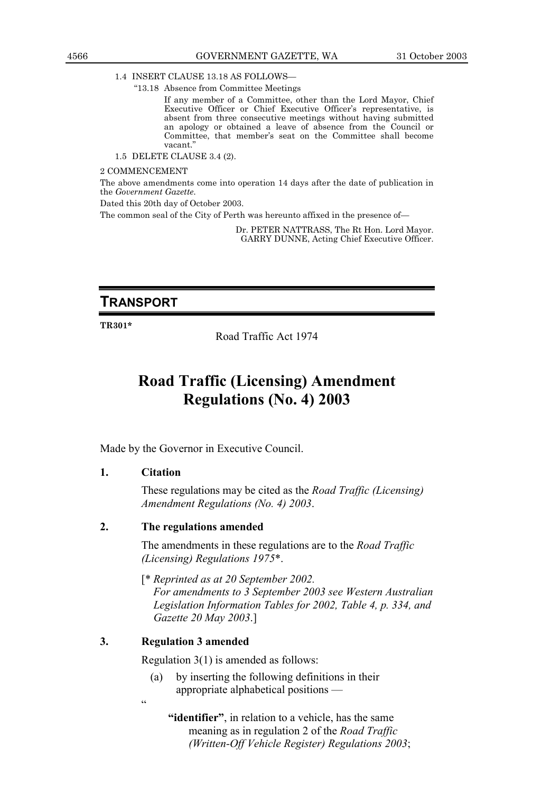1.4 INSERT CLAUSE 13.18 AS FOLLOWS

ì13.18 Absence from Committee Meetings

If any member of a Committee, other than the Lord Mayor, Chief Executive Officer or Chief Executive Officer's representative, is absent from three consecutive meetings without having submitted an apology or obtained a leave of absence from the Council or Committee, that memberís seat on the Committee shall become vacant.'

1.5 DELETE CLAUSE 3.4 (2).

2 COMMENCEMENT

The above amendments come into operation 14 days after the date of publication in the *Government Gazette*.

Dated this 20th day of October 2003.

The common seal of the City of Perth was hereunto affixed in the presence of-

Dr. PETER NATTRASS, The Rt Hon. Lord Mayor. GARRY DUNNE, Acting Chief Executive Officer.

### **TRANSPORT**

**TR301\***

Road Traffic Act 1974

### **Road Traffic (Licensing) Amendment Regulations (No. 4) 2003**

Made by the Governor in Executive Council.

### **1. Citation**

These regulations may be cited as the *Road Traffic (Licensing) Amendment Regulations (No. 4) 2003*.

### **2. The regulations amended**

The amendments in these regulations are to the *Road Traffic (Licensing) Regulations 1975*\*.

[\* *Reprinted as at 20 September 2002.*

*For amendments to 3 September 2003 see Western Australian Legislation Information Tables for 2002, Table 4, p. 334, and Gazette 20 May 2003*.]

### **3. Regulation 3 amended**

Regulation 3(1) is amended as follows:

(a) by inserting the following definitions in their appropriate alphabetical positions  $-$ 

ì

**"identifier"**, in relation to a vehicle, has the same meaning as in regulation 2 of the *Road Traffic (Written-Off Vehicle Register) Regulations 2003*;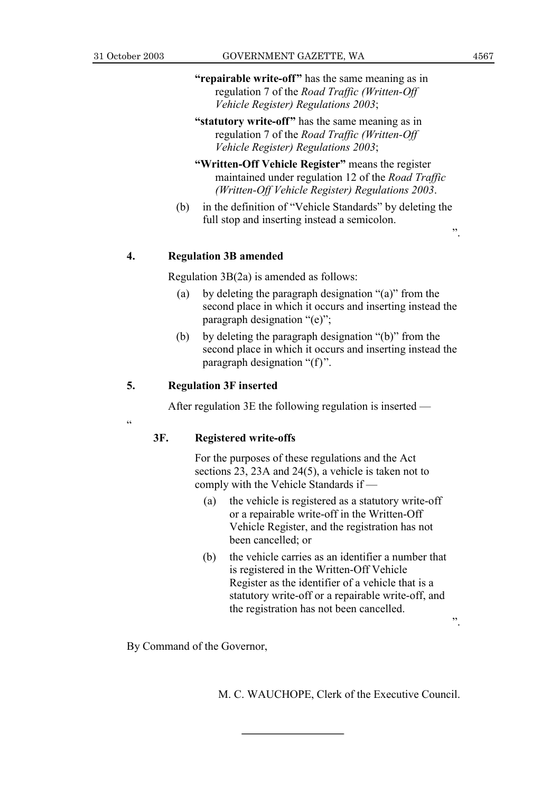ì

- **"repairable write-off"** has the same meaning as in regulation 7 of the *Road Traffic (Written-Off Vehicle Register) Regulations 2003*;
- **"statutory write-off"** has the same meaning as in regulation 7 of the *Road Traffic (Written-Off Vehicle Register) Regulations 2003*;
- **"Written-Off Vehicle Register"** means the register maintained under regulation 12 of the *Road Traffic (Written-Off Vehicle Register) Regulations 2003*.
- $(b)$  in the definition of "Vehicle Standards" by deleting the full stop and inserting instead a semicolon.

### **4. Regulation 3B amended**

Regulation 3B(2a) is amended as follows:

- (a) by deleting the paragraph designation  $\degree$ (a)" from the second place in which it occurs and inserting instead the paragraph designation  $\degree$ (e)";
- (b) by deleting the paragraph designation  $\degree$ (b)" from the second place in which it occurs and inserting instead the paragraph designation  $f(f)$ .

### **5. Regulation 3F inserted**

After regulation  $3E$  the following regulation is inserted  $\overline{\phantom{a}}$ 

### **3F. Registered write-offs**

For the purposes of these regulations and the Act sections 23, 23A and 24(5), a vehicle is taken not to comply with the Vehicle Standards if  $-$ 

- (a) the vehicle is registered as a statutory write-off or a repairable write-off in the Written-Off Vehicle Register, and the registration has not been cancelled; or
- (b) the vehicle carries as an identifier a number that is registered in the Written-Off Vehicle Register as the identifier of a vehicle that is a statutory write-off or a repairable write-off, and the registration has not been cancelled.

By Command of the Governor,

M. C. WAUCHOPE, Clerk of the Executive Council.

 $\ddot{\hspace{1cm}}$ 

 $\ddot{\phantom{0}}$ .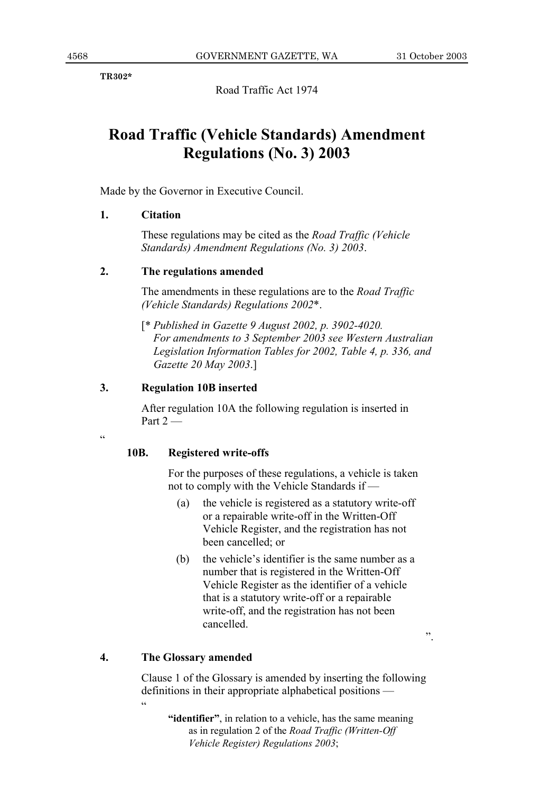$\ddot{\phantom{0}}$ 

**TR302\***

Road Traffic Act 1974

### **Road Traffic (Vehicle Standards) Amendment Regulations (No. 3) 2003**

Made by the Governor in Executive Council.

### **1. Citation**

These regulations may be cited as the *Road Traffic (Vehicle Standards) Amendment Regulations (No. 3) 2003*.

### **2. The regulations amended**

The amendments in these regulations are to the *Road Traffic (Vehicle Standards) Regulations 2002*\*.

[\* *Published in Gazette 9 August 2002, p. 3902-4020. For amendments to 3 September 2003 see Western Australian Legislation Information Tables for 2002, Table 4, p. 336, and Gazette 20 May 2003*.]

### **3. Regulation 10B inserted**

After regulation 10A the following regulation is inserted in Part  $2-$ 

ì

### **10B. Registered write-offs**

For the purposes of these regulations, a vehicle is taken not to comply with the Vehicle Standards if  $-$ 

- (a) the vehicle is registered as a statutory write-off or a repairable write-off in the Written-Off Vehicle Register, and the registration has not been cancelled; or
- (b) the vehicle's identifier is the same number as a number that is registered in the Written-Off Vehicle Register as the identifier of a vehicle that is a statutory write-off or a repairable write-off, and the registration has not been cancelled.

**4. The Glossary amended**

Clause 1 of the Glossary is amended by inserting the following definitions in their appropriate alphabetical positions  $$ ì

**iidentifier**<sup>*n*</sup>, in relation to a vehicle, has the same meaning as in regulation 2 of the *Road Traffic (Written-Off Vehicle Register) Regulations 2003*;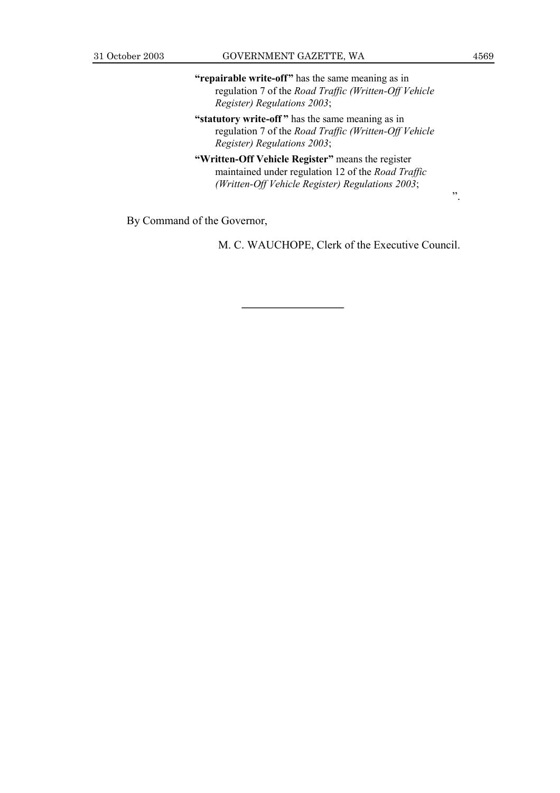**"repairable write-off"** has the same meaning as in regulation 7 of the *Road Traffic (Written-Off Vehicle Register) Regulations 2003*;

**"statutory write-off"** has the same meaning as in regulation 7 of the *Road Traffic (Written-Off Vehicle Register) Regulations 2003*;

**"Written-Off Vehicle Register"** means the register maintained under regulation 12 of the *Road Traffic (Written-Off Vehicle Register) Regulations 2003*;

By Command of the Governor,

M. C. WAUCHOPE, Clerk of the Executive Council.

î.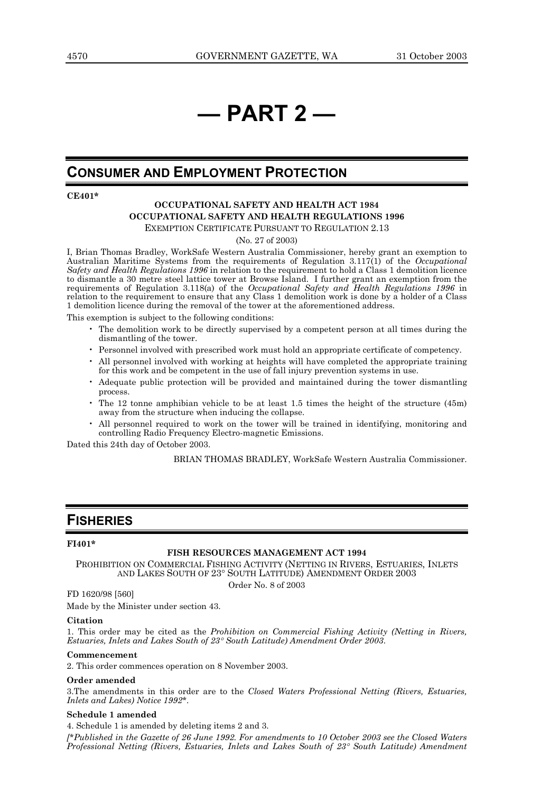## *<u>i</u>* **PART 2 —**

### **CONSUMER AND EMPLOYMENT PROTECTION**

**CE401\***

### **OCCUPATIONAL SAFETY AND HEALTH ACT 1984 OCCUPATIONAL SAFETY AND HEALTH REGULATIONS 1996**

EXEMPTION CERTIFICATE PURSUANT TO REGULATION 2.13

(No. 27 of 2003)

I, Brian Thomas Bradley, WorkSafe Western Australia Commissioner, hereby grant an exemption to Australian Maritime Systems from the requirements of Regulation 3.117(1) of the *Occupational Safety and Health Regulations 1996* in relation to the requirement to hold a Class 1 demolition licence to dismantle a 30 metre steel lattice tower at Browse Island. I further grant an exemption from the requirements of Regulation 3.118(a) of the *Occupational Safety and Health Regulations 1996* in relation to the requirement to ensure that any Class 1 demolition work is done by a holder of a Class 1 demolition licence during the removal of the tower at the aforementioned address.

This exemption is subject to the following conditions:

- ï The demolition work to be directly supervised by a competent person at all times during the dismantling of the tower.
- ï Personnel involved with prescribed work must hold an appropriate certificate of competency.
- ï All personnel involved with working at heights will have completed the appropriate training for this work and be competent in the use of fall injury prevention systems in use.
- ï Adequate public protection will be provided and maintained during the tower dismantling process.
- ï The 12 tonne amphibian vehicle to be at least 1.5 times the height of the structure (45m) away from the structure when inducing the collapse.
- All personnel required to work on the tower will be trained in identifying, monitoring and controlling Radio Frequency Electro-magnetic Emissions.

Dated this 24th day of October 2003.

BRIAN THOMAS BRADLEY, WorkSafe Western Australia Commissioner.

### **FISHERIES**

#### **FI401\***

#### **FISH RESOURCES MANAGEMENT ACT 1994**

PROHIBITION ON COMMERCIAL FISHING ACTIVITY (NETTING IN RIVERS, ESTUARIES, INLETS AND LAKES SOUTH OF 23° SOUTH LATITUDE) AMENDMENT ORDER 2003

Order No. 8 of 2003

FD 1620/98 [560]

Made by the Minister under section 43.

#### **Citation**

1. This order may be cited as the *Prohibition on Commercial Fishing Activity (Netting in Rivers, Estuaries, Inlets and Lakes South of 23*° *South Latitude) Amendment Order 2003*.

#### **Commencement**

2. This order commences operation on 8 November 2003.

#### **Order amended**

3.The amendments in this order are to the *Closed Waters Professional Netting (Rivers, Estuaries, Inlets and Lakes) Notice 1992\**.

#### **Schedule 1 amended**

4. Schedule 1 is amended by deleting items 2 and 3. *[\*Published in the Gazette of 26 June 1992. For amendments to 10 October 2003 see the Closed Waters Professional Netting (Rivers, Estuaries, Inlets and Lakes South of 23*° *South Latitude) Amendment*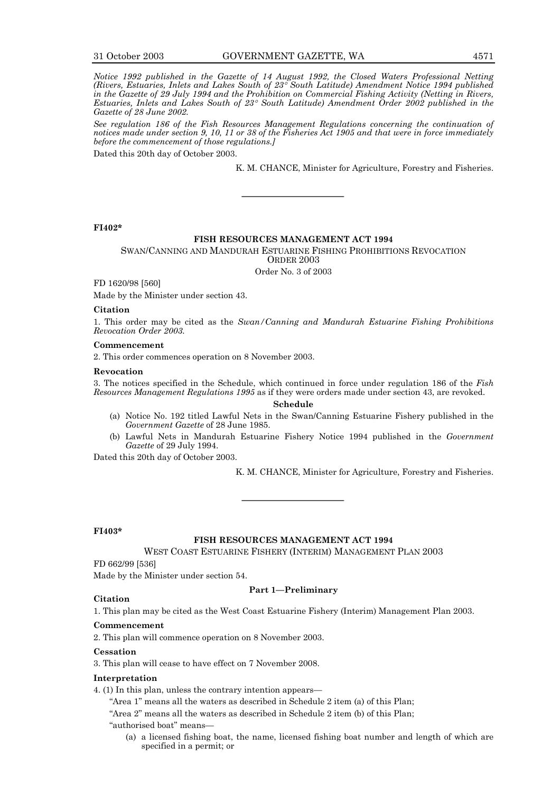*Notice 1992 published in the Gazette of 14 August 1992, the Closed Waters Professional Netting (Rivers, Estuaries, Inlets and Lakes South of 23*° *South Latitude) Amendment Notice 1994 published in the Gazette of 29 July 1994 and the Prohibition on Commercial Fishing Activity (Netting in Rivers, Estuaries, Inlets and Lakes South of 23*° *South Latitude) Amendment Order 2002 published in the Gazette of 28 June 2002.*

*See regulation 186 of the Fish Resources Management Regulations concerning the continuation of notices made under section 9, 10, 11 or 38 of the Fisheries Act 1905 and that were in force immediately before the commencement of those regulations.]*

Dated this 20th day of October 2003.

K. M. CHANCE, Minister for Agriculture, Forestry and Fisheries.

#### **FI402\***

#### **FISH RESOURCES MANAGEMENT ACT 1994**

#### SWAN/CANNING AND MANDURAH ESTUARINE FISHING PROHIBITIONS REVOCATION ORDER 2003

Order No. 3 of 2003

FD 1620/98 [560]

Made by the Minister under section 43.

#### **Citation**

1. This order may be cited as the *Swan/Canning and Mandurah Estuarine Fishing Prohibitions Revocation Order 2003.*

#### **Commencement**

2. This order commences operation on 8 November 2003.

#### **Revocation**

3. The notices specified in the Schedule, which continued in force under regulation 186 of the *Fish Resources Management Regulations 1995* as if they were orders made under section 43, are revoked.

**Schedule**

- (a) Notice No. 192 titled Lawful Nets in the Swan/Canning Estuarine Fishery published in the *Government Gazette* of 28 June 1985.
- (b) Lawful Nets in Mandurah Estuarine Fishery Notice 1994 published in the *Government Gazette* of 29 July 1994.

Dated this 20th day of October 2003.

K. M. CHANCE, Minister for Agriculture, Forestry and Fisheries.

#### **FI403\***

**Citation**

#### **FISH RESOURCES MANAGEMENT ACT 1994**

WEST COAST ESTUARINE FISHERY (INTERIM) MANAGEMENT PLAN 2003

FD 662/99 [536]

Made by the Minister under section 54.

#### **Part 1–Preliminary**

1. This plan may be cited as the West Coast Estuarine Fishery (Interim) Management Plan 2003.

#### **Commencement**

2. This plan will commence operation on 8 November 2003.

#### **Cessation**

3. This plan will cease to have effect on 7 November 2008.

#### **Interpretation**

4. (1) In this plan, unless the contrary intention appears—

"Area 1" means all the waters as described in Schedule 2 item (a) of this Plan;

"Area  $2$ " means all the waters as described in Schedule  $2$  item (b) of this Plan;

- "authorised boat" means-
	- (a) a licensed fishing boat, the name, licensed fishing boat number and length of which are specified in a permit; or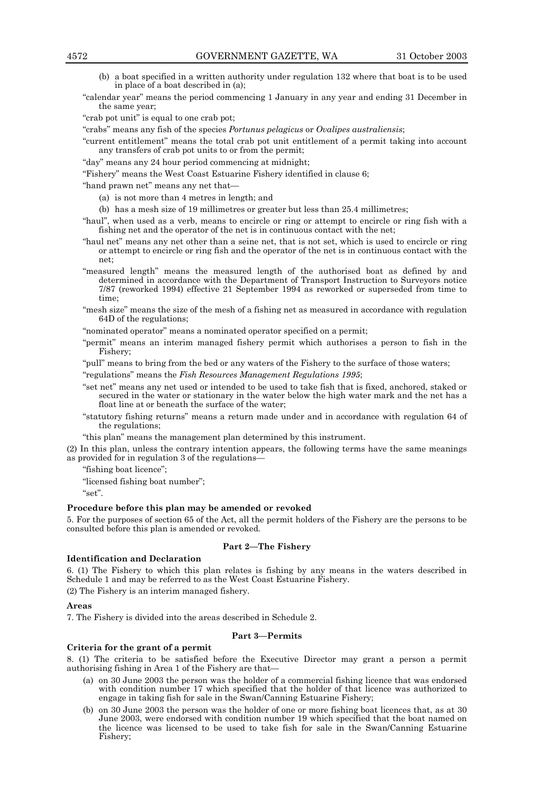- (b) a boat specified in a written authority under regulation 132 where that boat is to be used in place of a boat described in (a);
- ìcalendar yearî means the period commencing 1 January in any year and ending 31 December in the same year;

"crab pot unit" is equal to one crab pot;

ìcrabsî means any fish of the species *Portunus pelagicus* or *Ovalipes australiensis*;

ìcurrent entitlementî means the total crab pot unit entitlement of a permit taking into account any transfers of crab pot units to or from the permit;

ìdayî means any 24 hour period commencing at midnight;

ìFisheryî means the West Coast Estuarine Fishery identified in clause 6;

"hand prawn net" means any net that-

- (a) is not more than 4 metres in length; and
- (b) has a mesh size of 19 millimetres or greater but less than 25.4 millimetres;

"haul", when used as a verb, means to encircle or ring or attempt to encircle or ring fish with a fishing net and the operator of the net is in continuous contact with the net;

- ìhaul netî means any net other than a seine net, that is not set, which is used to encircle or ring or attempt to encircle or ring fish and the operator of the net is in continuous contact with the net;
- ìmeasured lengthî means the measured length of the authorised boat as defined by and determined in accordance with the Department of Transport Instruction to Surveyors notice 7/87 (reworked 1994) effective 21 September 1994 as reworked or superseded from time to time;
- ìmesh sizeî means the size of the mesh of a fishing net as measured in accordance with regulation 64D of the regulations;

"nominated operator" means a nominated operator specified on a permit;

ìpermitî means an interim managed fishery permit which authorises a person to fish in the Fishery;

"pull" means to bring from the bed or any waters of the Fishery to the surface of those waters; ìregulationsî means the *Fish Resources Management Regulations 1995*;

- ìset netî means any net used or intended to be used to take fish that is fixed, anchored, staked or secured in the water or stationary in the water below the high water mark and the net has a float line at or beneath the surface of the water;
- ìstatutory fishing returnsî means a return made under and in accordance with regulation 64 of the regulations;

"this plan" means the management plan determined by this instrument.

(2) In this plan, unless the contrary intention appears, the following terms have the same meanings as provided for in regulation 3 of the regulations-

"fishing boat licence";

"licensed fishing boat number";

 $"set"$ .

#### **Procedure before this plan may be amended or revoked**

5. For the purposes of section 65 of the Act, all the permit holders of the Fishery are the persons to be consulted before this plan is amended or revoked.

#### **Part 2-The Fishery**

#### **Identification and Declaration**

6. (1) The Fishery to which this plan relates is fishing by any means in the waters described in Schedule 1 and may be referred to as the West Coast Estuarine Fishery.

(2) The Fishery is an interim managed fishery.

#### **Areas**

7. The Fishery is divided into the areas described in Schedule 2.

#### **Part 3–Permits**

#### **Criteria for the grant of a permit**

8. (1) The criteria to be satisfied before the Executive Director may grant a person a permit authorising fishing in Area 1 of the Fishery are tható

- (a) on 30 June 2003 the person was the holder of a commercial fishing licence that was endorsed with condition number 17 which specified that the holder of that licence was authorized to engage in taking fish for sale in the Swan/Canning Estuarine Fishery;
- (b) on 30 June 2003 the person was the holder of one or more fishing boat licences that, as at 30 June 2003, were endorsed with condition number 19 which specified that the boat named on the licence was licensed to be used to take fish for sale in the Swan/Canning Estuarine Fishery;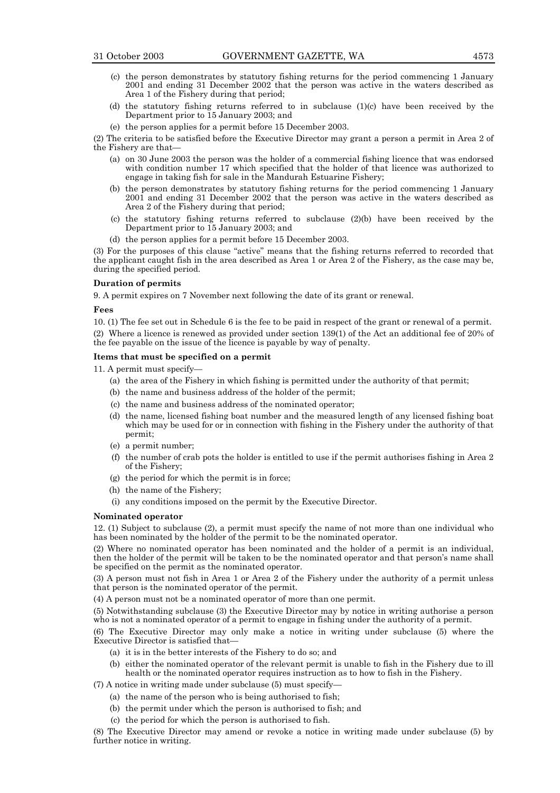- (c) the person demonstrates by statutory fishing returns for the period commencing 1 January 2001 and ending 31 December 2002 that the person was active in the waters described as Area 1 of the Fishery during that period;
- (d) the statutory fishing returns referred to in subclause (1)(c) have been received by the Department prior to 15 January 2003; and
- (e) the person applies for a permit before 15 December 2003.

(2) The criteria to be satisfied before the Executive Director may grant a person a permit in Area 2 of the Fishery are that-

- (a) on 30 June 2003 the person was the holder of a commercial fishing licence that was endorsed with condition number 17 which specified that the holder of that licence was authorized to engage in taking fish for sale in the Mandurah Estuarine Fishery;
- (b) the person demonstrates by statutory fishing returns for the period commencing 1 January 2001 and ending 31 December 2002 that the person was active in the waters described as Area 2 of the Fishery during that period;
- (c) the statutory fishing returns referred to subclause (2)(b) have been received by the Department prior to 15 January 2003; and
- (d) the person applies for a permit before 15 December 2003.

(3) For the purposes of this clause "active" means that the fishing returns referred to recorded that the applicant caught fish in the area described as Area 1 or Area  $2 \text{ of the Fishery}$ , as the case may be, during the specified period.

#### **Duration of permits**

9. A permit expires on 7 November next following the date of its grant or renewal.

#### **Fees**

10. (1) The fee set out in Schedule 6 is the fee to be paid in respect of the grant or renewal of a permit. (2) Where a licence is renewed as provided under section 139(1) of the Act an additional fee of 20% of the fee payable on the issue of the licence is payable by way of penalty.

#### **Items that must be specified on a permit**

11. A permit must specify-

- (a) the area of the Fishery in which fishing is permitted under the authority of that permit;
- (b) the name and business address of the holder of the permit;
- (c) the name and business address of the nominated operator;
- (d) the name, licensed fishing boat number and the measured length of any licensed fishing boat which may be used for or in connection with fishing in the Fishery under the authority of that permit;
- (e) a permit number;
- (f) the number of crab pots the holder is entitled to use if the permit authorises fishing in Area 2 of the Fishery;
- (g) the period for which the permit is in force;
- (h) the name of the Fishery;
- (i) any conditions imposed on the permit by the Executive Director.

#### **Nominated operator**

12. (1) Subject to subclause (2), a permit must specify the name of not more than one individual who has been nominated by the holder of the permit to be the nominated operator.

(2) Where no nominated operator has been nominated and the holder of a permit is an individual, then the holder of the permit will be taken to be the nominated operator and that person's name shall be specified on the permit as the nominated operator.

(3) A person must not fish in Area 1 or Area 2 of the Fishery under the authority of a permit unless that person is the nominated operator of the permit.

(4) A person must not be a nominated operator of more than one permit.

(5) Notwithstanding subclause (3) the Executive Director may by notice in writing authorise a person who is not a nominated operator of a permit to engage in fishing under the authority of a permit.

(6) The Executive Director may only make a notice in writing under subclause (5) where the Executive Director is satisfied that-

- (a) it is in the better interests of the Fishery to do so; and
- (b) either the nominated operator of the relevant permit is unable to fish in the Fishery due to ill health or the nominated operator requires instruction as to how to fish in the Fishery.

 $(7)$  A notice in writing made under subclause  $(5)$  must specify-

- (a) the name of the person who is being authorised to fish;
- (b) the permit under which the person is authorised to fish; and
- (c) the period for which the person is authorised to fish.

(8) The Executive Director may amend or revoke a notice in writing made under subclause (5) by further notice in writing.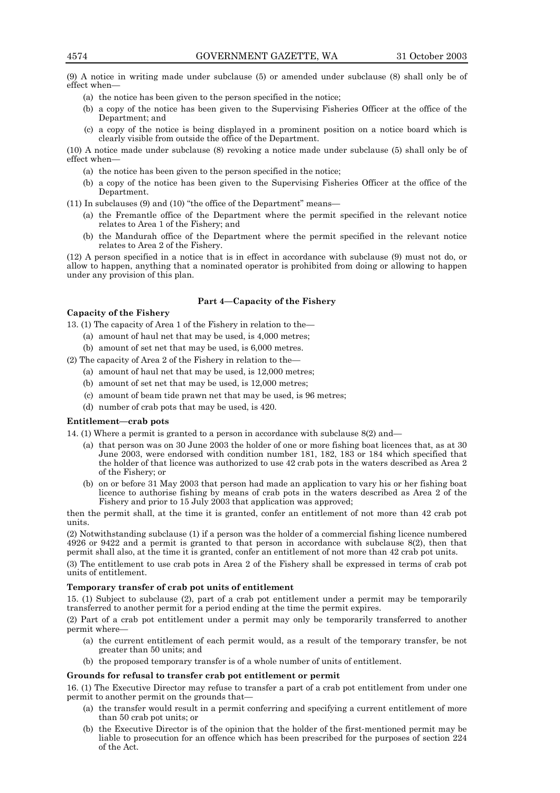(9) A notice in writing made under subclause (5) or amended under subclause (8) shall only be of effect when-

- (a) the notice has been given to the person specified in the notice;
- (b) a copy of the notice has been given to the Supervising Fisheries Officer at the office of the Department; and
- (c) a copy of the notice is being displayed in a prominent position on a notice board which is clearly visible from outside the office of the Department.

(10) A notice made under subclause (8) revoking a notice made under subclause (5) shall only be of effect when-

- (a) the notice has been given to the person specified in the notice;
- (b) a copy of the notice has been given to the Supervising Fisheries Officer at the office of the Department.
- $(11)$  In subclauses  $(9)$  and  $(10)$  "the office of the Department" means—
	- (a) the Fremantle office of the Department where the permit specified in the relevant notice relates to Area 1 of the Fishery; and
	- (b) the Mandurah office of the Department where the permit specified in the relevant notice relates to Area 2 of the Fishery.

(12) A person specified in a notice that is in effect in accordance with subclause (9) must not do, or allow to happen, anything that a nominated operator is prohibited from doing or allowing to happen under any provision of this plan.

#### **Part 4–Capacity of the Fishery**

#### **Capacity of the Fishery**

13. (1) The capacity of Area 1 of the Fishery in relation to the  $-$ 

- (a) amount of haul net that may be used, is 4,000 metres;
- (b) amount of set net that may be used, is 6,000 metres.
- $(2)$  The capacity of Area 2 of the Fishery in relation to the
	- (a) amount of haul net that may be used, is 12,000 metres;
	- (b) amount of set net that may be used, is 12,000 metres;
	- (c) amount of beam tide prawn net that may be used, is 96 metres;
	- (d) number of crab pots that may be used, is 420.

#### **Entitlement-crab pots**

14. (1) Where a permit is granted to a person in accordance with subclause  $8(2)$  and

- (a) that person was on 30 June 2003 the holder of one or more fishing boat licences that, as at 30 June 2003, were endorsed with condition number 181, 182, 183 or 184 which specified that the holder of that licence was authorized to use 42 crab pots in the waters described as Area 2 of the Fishery; or
- (b) on or before 31 May 2003 that person had made an application to vary his or her fishing boat licence to authorise fishing by means of crab pots in the waters described as Area 2 of the Fishery and prior to 15 July 2003 that application was approved;

then the permit shall, at the time it is granted, confer an entitlement of not more than 42 crab pot units.

(2) Notwithstanding subclause (1) if a person was the holder of a commercial fishing licence numbered 4926 or 9422 and a permit is granted to that person in accordance with subclause 8(2), then that permit shall also, at the time it is granted, confer an entitlement of not more than 42 crab pot units.

(3) The entitlement to use crab pots in Area 2 of the Fishery shall be expressed in terms of crab pot units of entitlement.

#### **Temporary transfer of crab pot units of entitlement**

15. (1) Subject to subclause (2), part of a crab pot entitlement under a permit may be temporarily transferred to another permit for a period ending at the time the permit expires.

(2) Part of a crab pot entitlement under a permit may only be temporarily transferred to another permit where-

- (a) the current entitlement of each permit would, as a result of the temporary transfer, be not greater than 50 units; and
- (b) the proposed temporary transfer is of a whole number of units of entitlement.

#### **Grounds for refusal to transfer crab pot entitlement or permit**

16. (1) The Executive Director may refuse to transfer a part of a crab pot entitlement from under one permit to another permit on the grounds that-

- (a) the transfer would result in a permit conferring and specifying a current entitlement of more than 50 crab pot units; or
- (b) the Executive Director is of the opinion that the holder of the first-mentioned permit may be liable to prosecution for an offence which has been prescribed for the purposes of section 224 of the Act.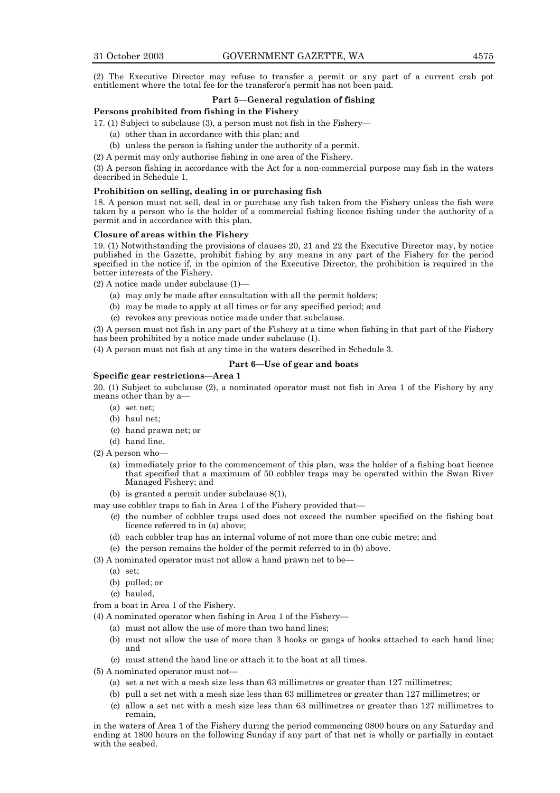(2) The Executive Director may refuse to transfer a permit or any part of a current crab pot entitlement where the total fee for the transferor's permit has not been paid.

#### **Part 5–General regulation of fishing**

#### **Persons prohibited from fishing in the Fishery**

17. (1) Subject to subclause (3), a person must not fish in the Fishery—

- (a) other than in accordance with this plan; and
- (b) unless the person is fishing under the authority of a permit.

(2) A permit may only authorise fishing in one area of the Fishery.

(3) A person fishing in accordance with the Act for a non-commercial purpose may fish in the waters described in Schedule 1.

#### **Prohibition on selling, dealing in or purchasing fish**

18. A person must not sell, deal in or purchase any fish taken from the Fishery unless the fish were taken by a person who is the holder of a commercial fishing licence fishing under the authority of a permit and in accordance with this plan.

#### **Closure of areas within the Fishery**

19. (1) Notwithstanding the provisions of clauses 20, 21 and 22 the Executive Director may, by notice published in the Gazette, prohibit fishing by any means in any part of the Fishery for the period specified in the notice if, in the opinion of the Executive Director, the prohibition is required in the better interests of the Fishery.

 $(2)$  A notice made under subclause  $(1)$ —

- (a) may only be made after consultation with all the permit holders;
- (b) may be made to apply at all times or for any specified period; and
- (c) revokes any previous notice made under that subclause.

(3) A person must not fish in any part of the Fishery at a time when fishing in that part of the Fishery has been prohibited by a notice made under subclause (1).

(4) A person must not fish at any time in the waters described in Schedule 3.

#### Part 6–Use of gear and boats

**Specific gear restrictions–Area 1** 

20. (1) Subject to subclause (2), a nominated operator must not fish in Area 1 of the Fishery by any means other than by a-

- (a) set net;
- (b) haul net;
- (c) hand prawn net; or
- (d) hand line.
- $(2)$  A person who
	- (a) immediately prior to the commencement of this plan, was the holder of a fishing boat licence that specified that a maximum of 50 cobbler traps may be operated within the Swan River Managed Fishery; and
	- (b) is granted a permit under subclause 8(1),

may use cobbler traps to fish in Area 1 of the Fishery provided that-

- (c) the number of cobbler traps used does not exceed the number specified on the fishing boat licence referred to in (a) above;
- (d) each cobbler trap has an internal volume of not more than one cubic metre; and
- (e) the person remains the holder of the permit referred to in (b) above.
- $(3)$  A nominated operator must not allow a hand prawn net to be-
	- (a) set;
	- (b) pulled; or
	- (c) hauled,

from a boat in Area 1 of the Fishery.

 $(4)$  A nominated operator when fishing in Area 1 of the Fishery—

- (a) must not allow the use of more than two hand lines;
- (b) must not allow the use of more than 3 hooks or gangs of hooks attached to each hand line; and
- (c) must attend the hand line or attach it to the boat at all times.
- $(5)$  A nominated operator must not-
	- (a) set a net with a mesh size less than 63 millimetres or greater than 127 millimetres;
	- (b) pull a set net with a mesh size less than 63 millimetres or greater than 127 millimetres; or
	- (c) allow a set net with a mesh size less than 63 millimetres or greater than 127 millimetres to remain,

in the waters of Area 1 of the Fishery during the period commencing 0800 hours on any Saturday and ending at 1800 hours on the following Sunday if any part of that net is wholly or partially in contact with the seabed.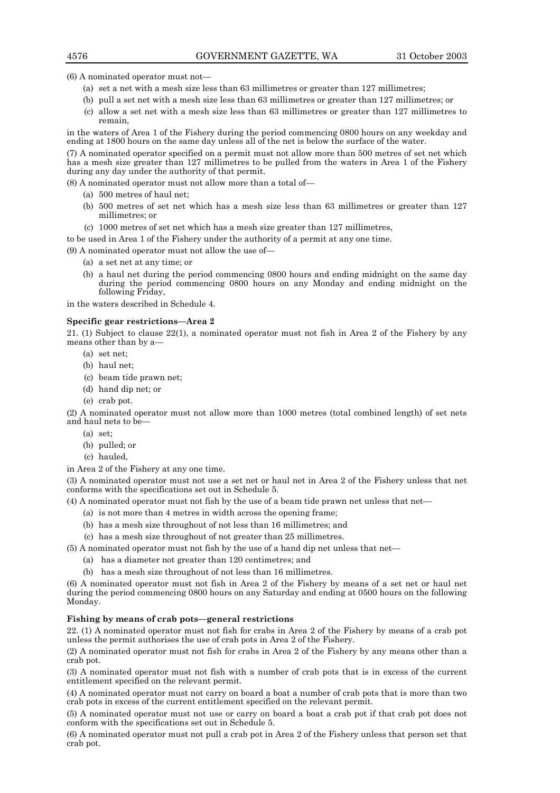$(6)$  A nominated operator must not $-$ 

- (a) set a net with a mesh size less than 63 millimetres or greater than 127 millimetres;
- (b) pull a set net with a mesh size less than 63 millimetres or greater than 127 millimetres; or
- (c) allow a set net with a mesh size less than 63 millimetres or greater than 127 millimetres to remain,

in the waters of Area 1 of the Fishery during the period commencing 0800 hours on any weekday and ending at 1800 hours on the same day unless all of the net is below the surface of the water.

(7) A nominated operator specified on a permit must not allow more than 500 metres of set net which has a mesh size greater than 127 millimetres to be pulled from the waters in Area 1 of the Fishery during any day under the authority of that permit.

 $(8)$  A nominated operator must not allow more than a total of—

- (a) 500 metres of haul net;
- (b) 500 metres of set net which has a mesh size less than 63 millimetres or greater than 127 millimetres; or
- (c) 1000 metres of set net which has a mesh size greater than 127 millimetres,

to be used in Area 1 of the Fishery under the authority of a permit at any one time.

 $(9)$  A nominated operator must not allow the use of-

- (a) a set net at any time; or
- (b) a haul net during the period commencing 0800 hours and ending midnight on the same day during the period commencing 0800 hours on any Monday and ending midnight on the following Friday,

in the waters described in Schedule 4.

#### **Specific gear restrictions—Area 2**

21. (1) Subject to clause 22(1), a nominated operator must not fish in Area 2 of the Fishery by any means other than by a-

- (a) set net;
- (b) haul net;
- (c) beam tide prawn net;
- (d) hand dip net; or
- (e) crab pot.

(2) A nominated operator must not allow more than 1000 metres (total combined length) of set nets and haul nets to be-

- (a) set;
- (b) pulled; or
- (c) hauled,

in Area 2 of the Fishery at any one time.

(3) A nominated operator must not use a set net or haul net in Area 2 of the Fishery unless that net conforms with the specifications set out in Schedule 5.

 $(4)$  A nominated operator must not fish by the use of a beam tide prawn net unless that net

- (a) is not more than 4 metres in width across the opening frame;
- (b) has a mesh size throughout of not less than 16 millimetres; and
- (c) has a mesh size throughout of not greater than 25 millimetres.

 $(5)$  A nominated operator must not fish by the use of a hand dip net unless that net—

- (a) has a diameter not greater than 120 centimetres; and
- (b) has a mesh size throughout of not less than 16 millimetres.

(6) A nominated operator must not fish in Area 2 of the Fishery by means of a set net or haul net during the period commencing 0800 hours on any Saturday and ending at 0500 hours on the following Monday.

#### Fishing by means of crab pots—general restrictions

22. (1) A nominated operator must not fish for crabs in Area 2 of the Fishery by means of a crab pot unless the permit authorises the use of crab pots in Area 2 of the Fishery.

(2) A nominated operator must not fish for crabs in Area 2 of the Fishery by any means other than a crab pot.

(3) A nominated operator must not fish with a number of crab pots that is in excess of the current entitlement specified on the relevant permit.

(4) A nominated operator must not carry on board a boat a number of crab pots that is more than two crab pots in excess of the current entitlement specified on the relevant permit.

(5) A nominated operator must not use or carry on board a boat a crab pot if that crab pot does not conform with the specifications set out in Schedule 5.

(6) A nominated operator must not pull a crab pot in Area 2 of the Fishery unless that person set that crab pot.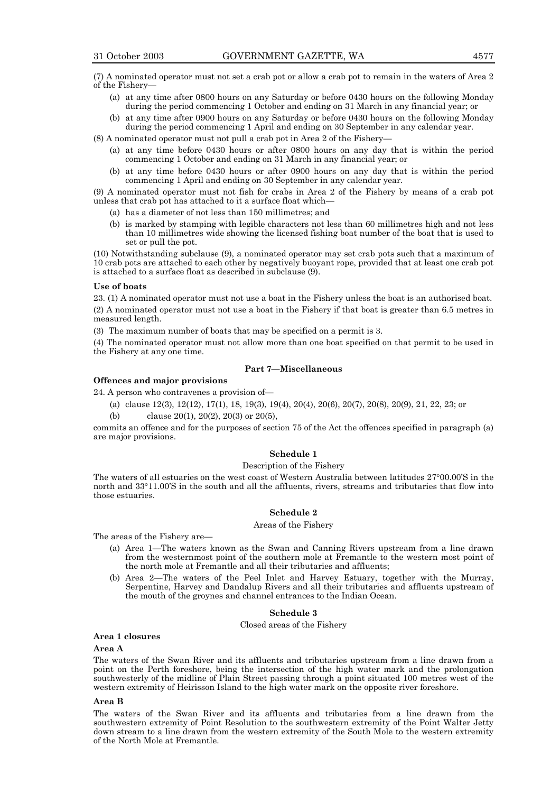(7) A nominated operator must not set a crab pot or allow a crab pot to remain in the waters of Area 2 of the Fishery-

- (a) at any time after 0800 hours on any Saturday or before 0430 hours on the following Monday during the period commencing 1 October and ending on 31 March in any financial year; or
- (b) at any time after 0900 hours on any Saturday or before 0430 hours on the following Monday during the period commencing 1 April and ending on 30 September in any calendar year.

 $(8)$  A nominated operator must not pull a crab pot in Area 2 of the Fishery-

- (a) at any time before 0430 hours or after 0800 hours on any day that is within the period commencing 1 October and ending on 31 March in any financial year; or
- (b) at any time before 0430 hours or after 0900 hours on any day that is within the period commencing 1 April and ending on 30 September in any calendar year.

(9) A nominated operator must not fish for crabs in Area 2 of the Fishery by means of a crab pot unless that crab pot has attached to it a surface float which-

- (a) has a diameter of not less than 150 millimetres; and
- (b) is marked by stamping with legible characters not less than 60 millimetres high and not less than 10 millimetres wide showing the licensed fishing boat number of the boat that is used to set or pull the pot.

(10) Notwithstanding subclause (9), a nominated operator may set crab pots such that a maximum of 10 crab pots are attached to each other by negatively buoyant rope, provided that at least one crab pot is attached to a surface float as described in subclause (9).

#### **Use of boats**

23. (1) A nominated operator must not use a boat in the Fishery unless the boat is an authorised boat. (2) A nominated operator must not use a boat in the Fishery if that boat is greater than 6.5 metres in measured length.

(3) The maximum number of boats that may be specified on a permit is 3.

(4) The nominated operator must not allow more than one boat specified on that permit to be used in the Fishery at any one time.

#### **Part 7–Miscellaneous**

#### **Offences and major provisions**

- 24. A person who contravenes a provision of  $-$ 
	- (a) clause 12(3), 12(12), 17(1), 18, 19(3), 19(4), 20(4), 20(6), 20(7), 20(8), 20(9), 21, 22, 23; or
	- clause 20(1), 20(2), 20(3) or 20(5),

commits an offence and for the purposes of section 75 of the Act the offences specified in paragraph (a) are major provisions.

#### **Schedule 1**

#### Description of the Fishery

The waters of all estuaries on the west coast of Western Australia between latitudes 27°00.00'S in the north and  $33^{\circ}11.00$ 'S in the south and all the affluents, rivers, streams and tributaries that flow into those estuaries.

#### **Schedule 2**

#### Areas of the Fishery

The areas of the Fishery are—

- (a) Area 1—The waters known as the Swan and Canning Rivers upstream from a line drawn from the westernmost point of the southern mole at Fremantle to the western most point of the north mole at Fremantle and all their tributaries and affluents;
- (b) Area 2—The waters of the Peel Inlet and Harvey Estuary, together with the Murray, Serpentine, Harvey and Dandalup Rivers and all their tributaries and affluents upstream of the mouth of the groynes and channel entrances to the Indian Ocean.

#### **Schedule 3**

#### Closed areas of the Fishery

#### **Area 1 closures**

#### **Area A**

The waters of the Swan River and its affluents and tributaries upstream from a line drawn from a point on the Perth foreshore, being the intersection of the high water mark and the prolongation southwesterly of the midline of Plain Street passing through a point situated 100 metres west of the western extremity of Heirisson Island to the high water mark on the opposite river foreshore.

#### **Area B**

The waters of the Swan River and its affluents and tributaries from a line drawn from the southwestern extremity of Point Resolution to the southwestern extremity of the Point Walter Jetty down stream to a line drawn from the western extremity of the South Mole to the western extremity of the North Mole at Fremantle.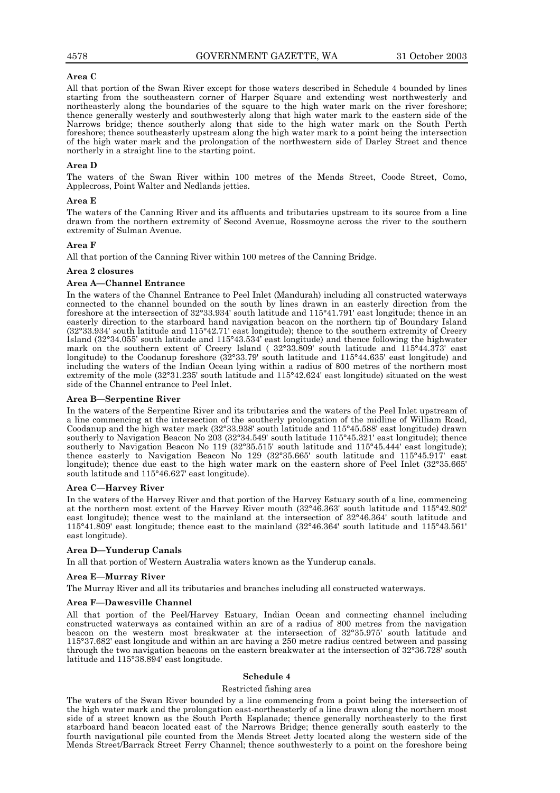#### **Area C**

All that portion of the Swan River except for those waters described in Schedule 4 bounded by lines starting from the southeastern corner of Harper Square and extending west northwesterly and northeasterly along the boundaries of the square to the high water mark on the river foreshore; thence generally westerly and southwesterly along that high water mark to the eastern side of the Narrows bridge; thence southerly along that side to the high water mark on the South Perth foreshore; thence southeasterly upstream along the high water mark to a point being the intersection of the high water mark and the prolongation of the northwestern side of Darley Street and thence northerly in a straight line to the starting point.

#### **Area D**

The waters of the Swan River within 100 metres of the Mends Street, Coode Street, Como, Applecross, Point Walter and Nedlands jetties.

#### **Area E**

The waters of the Canning River and its affluents and tributaries upstream to its source from a line drawn from the northern extremity of Second Avenue, Rossmoyne across the river to the southern extremity of Sulman Avenue.

#### **Area F**

All that portion of the Canning River within 100 metres of the Canning Bridge.

#### **Area 2 closures**

#### **Area A-Channel Entrance**

In the waters of the Channel Entrance to Peel Inlet (Mandurah) including all constructed waterways connected to the channel bounded on the south by lines drawn in an easterly direction from the foreshore at the intersection of 32°33.934' south latitude and 115°41.791' east longitude; thence in an easterly direction to the starboard hand navigation beacon on the northern tip of Boundary Island (32°33.934' south latitude and 115°42.71' east longitude); thence to the southern extremity of Creery Island (32°34.055í south latitude and 115°43.534í east longitude) and thence following the highwater mark on the southern extent of Creery Island ( 32°33.809' south latitude and 115°44.373' east longitude) to the Coodanup foreshore (32°33.79' south latitude and 115°44.635' east longitude) and including the waters of the Indian Ocean lying within a radius of 800 metres of the northern most extremity of the mole (32°31.235' south latitude and 115°42.624' east longitude) situated on the west side of the Channel entrance to Peel Inlet.

#### **Area B-Serpentine River**

In the waters of the Serpentine River and its tributaries and the waters of the Peel Inlet upstream of a line commencing at the intersection of the southerly prolongation of the midline of William Road, Coodanup and the high water mark (32°33.938' south latitude and 115°45.588' east longitude) drawn southerly to Navigation Beacon No 203 (32°34.549' south latitude 115°45.321' east longitude); thence southerly to Navigation Beacon No 119 (32°35.515' south latitude and 115°45.444' east longitude); thence easterly to Navigation Beacon No 129 (32°35.665' south latitude and 115°45.917' east longitude); thence due east to the high water mark on the eastern shore of Peel Inlet  $(32^{\circ}35.665'$ south latitude and 115°46.627' east longitude).

#### Area C-Harvey River

In the waters of the Harvey River and that portion of the Harvey Estuary south of a line, commencing at the northern most extent of the Harvey River mouth (32°46.363' south latitude and 115°42.802' east longitude); thence west to the mainland at the intersection of 32°46.364' south latitude and 115°41.809' east longitude; thence east to the mainland (32°46.364' south latitude and 115°43.561' east longitude).

#### Area D-Yunderup Canals

In all that portion of Western Australia waters known as the Yunderup canals.

#### Area E-Murray River

The Murray River and all its tributaries and branches including all constructed waterways.

#### Area F-Dawesville Channel

All that portion of the Peel/Harvey Estuary, Indian Ocean and connecting channel including constructed waterways as contained within an arc of a radius of 800 metres from the navigation beacon on the western most breakwater at the intersection of 32°35.975' south latitude and 115°37.682' east longitude and within an arc having a 250 metre radius centred between and passing through the two navigation beacons on the eastern breakwater at the intersection of 32°36.728' south latitude and 115°38.894' east longitude.

#### **Schedule 4**

#### Restricted fishing area

The waters of the Swan River bounded by a line commencing from a point being the intersection of the high water mark and the prolongation east-northeasterly of a line drawn along the northern most side of a street known as the South Perth Esplanade; thence generally northeasterly to the first starboard hand beacon located east of the Narrows Bridge; thence generally south easterly to the fourth navigational pile counted from the Mends Street Jetty located along the western side of the Mends Street/Barrack Street Ferry Channel; thence southwesterly to a point on the foreshore being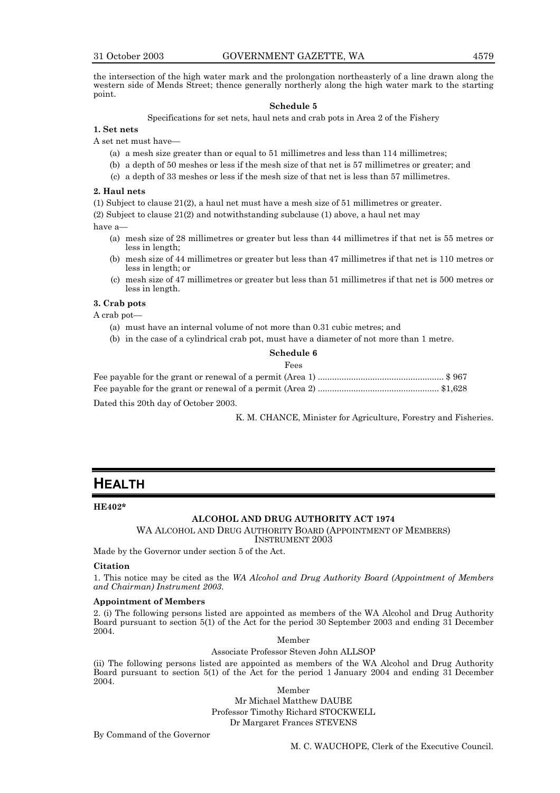the intersection of the high water mark and the prolongation northeasterly of a line drawn along the western side of Mends Street; thence generally northerly along the high water mark to the starting point.

#### **Schedule 5**

Specifications for set nets, haul nets and crab pots in Area 2 of the Fishery

**1. Set nets**

A set net must have—

- (a) a mesh size greater than or equal to 51 millimetres and less than 114 millimetres;
- (b) a depth of 50 meshes or less if the mesh size of that net is 57 millimetres or greater; and
- (c) a depth of 33 meshes or less if the mesh size of that net is less than 57 millimetres.

#### **2. Haul nets**

(1) Subject to clause 21(2), a haul net must have a mesh size of 51 millimetres or greater.

(2) Subject to clause 21(2) and notwithstanding subclause (1) above, a haul net may

have a-

- (a) mesh size of 28 millimetres or greater but less than 44 millimetres if that net is 55 metres or less in length;
- (b) mesh size of 44 millimetres or greater but less than 47 millimetres if that net is 110 metres or less in length; or
- (c) mesh size of 47 millimetres or greater but less than 51 millimetres if that net is 500 metres or less in length.

#### **3. Crab pots**

A crab pot-

- (a) must have an internal volume of not more than 0.31 cubic metres; and
- (b) in the case of a cylindrical crab pot, must have a diameter of not more than 1 metre.

#### **Schedule 6**

#### Fees

| Dated this 20th day of October 2003. |  |
|--------------------------------------|--|

K. M. CHANCE, Minister for Agriculture, Forestry and Fisheries.

### **HEALTH**

#### **HE402\***

#### **ALCOHOL AND DRUG AUTHORITY ACT 1974**

WA ALCOHOL AND DRUG AUTHORITY BOARD (APPOINTMENT OF MEMBERS)

INSTRUMENT 2003

Made by the Governor under section 5 of the Act.

#### **Citation**

1. This notice may be cited as the *WA Alcohol and Drug Authority Board (Appointment of Members and Chairman) Instrument 2003*.

#### **Appointment of Members**

2. (i) The following persons listed are appointed as members of the WA Alcohol and Drug Authority Board pursuant to section 5(1) of the Act for the period 30 September 2003 and ending 31 December 2004.

Member

Associate Professor Steven John ALLSOP

(ii) The following persons listed are appointed as members of the WA Alcohol and Drug Authority Board pursuant to section 5(1) of the Act for the period 1 January 2004 and ending 31 December 2004.

> Member Mr Michael Matthew DAUBE Professor Timothy Richard STOCKWELL Dr Margaret Frances STEVENS

By Command of the Governor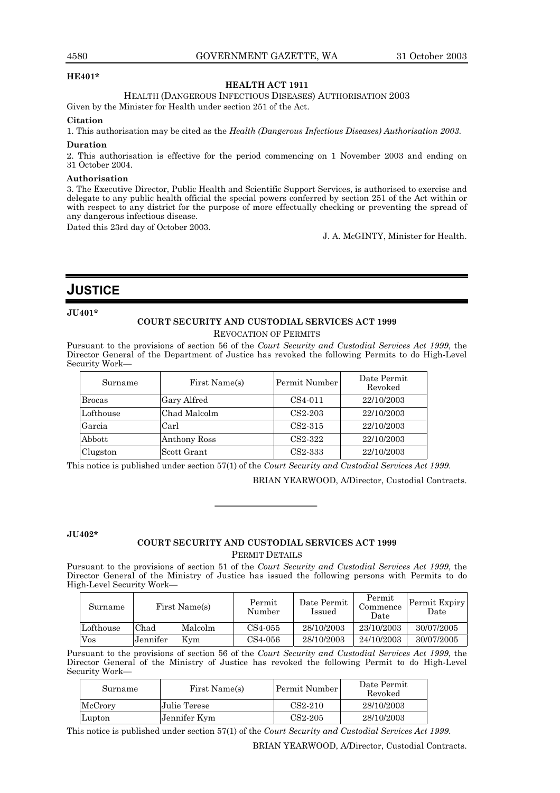#### **HE401\***

#### **HEALTH ACT 1911**

HEALTH (DANGEROUS INFECTIOUS DISEASES) AUTHORISATION 2003

Given by the Minister for Health under section 251 of the Act.

#### **Citation**

1. This authorisation may be cited as the *Health (Dangerous Infectious Diseases) Authorisation 2003*.

#### **Duration**

2. This authorisation is effective for the period commencing on 1 November 2003 and ending on 31 October 2004.

#### **Authorisation**

3. The Executive Director, Public Health and Scientific Support Services, is authorised to exercise and delegate to any public health official the special powers conferred by section 251 of the Act within or with respect to any district for the purpose of more effectually checking or preventing the spread of any dangerous infectious disease.

Dated this 23rd day of October 2003.

J. A. McGINTY, Minister for Health.

### **JUSTICE**

#### **JU401\***

#### **COURT SECURITY AND CUSTODIAL SERVICES ACT 1999** REVOCATION OF PERMITS

Pursuant to the provisions of section 56 of the *Court Security and Custodial Services Act 1999*, the Director General of the Department of Justice has revoked the following Permits to do High-Level Security Work-

| Surname                   | First Name(s) | Permit Number        | Date Permit<br>Revoked |
|---------------------------|---------------|----------------------|------------------------|
| <b>Brocas</b>             | Gary Alfred   | CS4-011              | 22/10/2003             |
| Lofthouse<br>Chad Malcolm |               | $CS2-203$            | 22/10/2003             |
| Garcia                    | Carl          |                      | 22/10/2003             |
| Abbott                    | Anthony Ross  | CS <sub>2</sub> -322 | 22/10/2003             |
| Clugston                  | Scott Grant   | CS2-333              | 22/10/2003             |

This notice is published under section 57(1) of the *Court Security and Custodial Services Act 1999*.

BRIAN YEARWOOD, A/Director, Custodial Contracts.

#### **JU402\***

#### **COURT SECURITY AND CUSTODIAL SERVICES ACT 1999** PERMIT DETAILS

Pursuant to the provisions of section 51 of the *Court Security and Custodial Services Act 1999*, the Director General of the Ministry of Justice has issued the following persons with Permits to do High-Level Security Work-

| Surname                 |          | First Name(s) | Permit<br>Number | Date Permit<br>Issued | Permit<br>Commence<br>Date | Permit Expiry<br>Date |
|-------------------------|----------|---------------|------------------|-----------------------|----------------------------|-----------------------|
| Lofthouse               | Chad     | Malcolm       | CS4-055          | 28/10/2003            | 23/10/2003                 | 30/07/2005            |
| $\mathrm{V}\mathrm{os}$ | Jennifer | Kvm           | CS4-056          | 28/10/2003            | 24/10/2003                 | 30/07/2005            |

Pursuant to the provisions of section 56 of the *Court Security and Custodial Services Act 1999*, the Director General of the Ministry of Justice has revoked the following Permit to do High-Level Security Work-

| Surname | First Name(s) | Permit Number        | Date Permit<br>Revoked |
|---------|---------------|----------------------|------------------------|
| McCrory | Julie Terese  | $CS2-210$            | 28/10/2003             |
| Lupton  | Jennifer Kym  | CS <sub>2</sub> -205 | 28/10/2003             |

This notice is published under section 57(1) of the *Court Security and Custodial Services Act 1999*.

BRIAN YEARWOOD, A/Director, Custodial Contracts.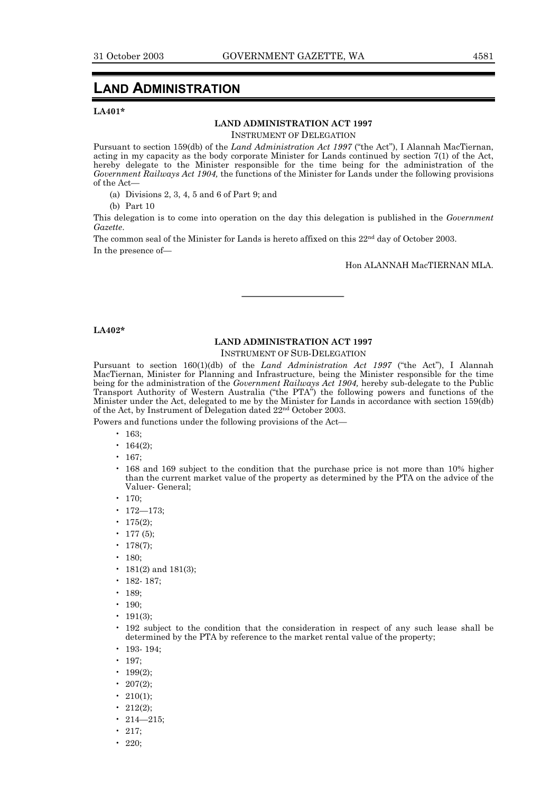### **LAND ADMINISTRATION**

#### **LA401\***

#### **LAND ADMINISTRATION ACT 1997**

INSTRUMENT OF DELEGATION

Pursuant to section 159(db) of the *Land Administration Act 1997* ("the Act"), I Alannah MacTiernan, acting in my capacity as the body corporate Minister for Lands continued by section 7(1) of the Act, hereby delegate to the Minister responsible for the time being for the administration of the *Government Railways Act 1904,* the functions of the Minister for Lands under the following provisions of the Act-

(a) Divisions 2, 3, 4, 5 and 6 of Part 9; and

(b) Part 10

This delegation is to come into operation on the day this delegation is published in the *Government Gazette*.

The common seal of the Minister for Lands is hereto affixed on this 22<sup>nd</sup> day of October 2003. In the presence of-

Hon ALANNAH MacTIERNAN MLA.

#### **LA402\***

### **LAND ADMINISTRATION ACT 1997**

INSTRUMENT OF SUB-DELEGATION

Pursuant to section 160(1)(db) of the *Land Administration Act 1997* ("the Act"), I Alannah MacTiernan, Minister for Planning and Infrastructure, being the Minister responsible for the time being for the administration of the *Government Railways Act 1904,* hereby sub-delegate to the Public Transport Authority of Western Australia ("the PTA") the following powers and functions of the Minister under the Act, delegated to me by the Minister for Lands in accordance with section 159(db) of the Act, by Instrument of Delegation dated 22nd October 2003.

Powers and functions under the following provisions of the Act-

- $\cdot$  163:
- 164 $(2)$ ;
- 167;
- ï 168 and 169 subject to the condition that the purchase price is not more than 10% higher than the current market value of the property as determined by the PTA on the advice of the Valuer- General;
- $\cdot$  170;
- $172 173$ ;
- 175 $(2)$ ;
- 177 $(5)$ :
- 178(7);
- 180;
- 
- 181(2) and 181(3);
- $\cdot$  182- 187;
- $\cdot$  189;
- $\cdot$  190:
- $\cdot$  191(3):
- ï 192 subject to the condition that the consideration in respect of any such lease shall be determined by the PTA by reference to the market rental value of the property;
- 193- 194;
- $\cdot$  197;
- 199(2);
- 207(2);
- 210(1);
- 212(2);
- 214 $-215$ ;
- 
- $\cdot$  217;  $\cdot$  220;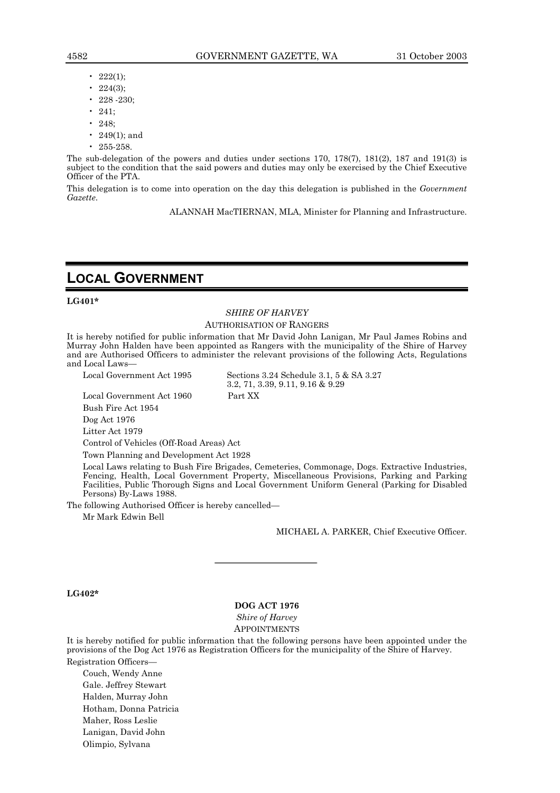- 222(1):
- 224(3);
- 228 -230;
- $\cdot$  241;
- 248;
- 249(1); and
- 255-258.

The sub-delegation of the powers and duties under sections 170, 178(7), 181(2), 187 and 191(3) is subject to the condition that the said powers and duties may only be exercised by the Chief Executive Officer of the PTA.

This delegation is to come into operation on the day this delegation is published in the *Government Gazette*.

ALANNAH MacTIERNAN, MLA, Minister for Planning and Infrastructure.

### **LOCAL GOVERNMENT**

#### **LG401\***

### *SHIRE OF HARVEY*

#### AUTHORISATION OF RANGERS

It is hereby notified for public information that Mr David John Lanigan, Mr Paul James Robins and Murray John Halden have been appointed as Rangers with the municipality of the Shire of Harvey and are Authorised Officers to administer the relevant provisions of the following Acts, Regulations and Local Laws-

Local Government Act 1995 Sections 3.24 Schedule 3.1, 5 & SA 3.27 3.2, 71, 3.39, 9.11, 9.16 & 9.29

Local Government Act 1960 Part XX

Bush Fire Act 1954

Dog Act 1976

Litter Act 1979

Control of Vehicles (Off-Road Areas) Act

Town Planning and Development Act 1928

Local Laws relating to Bush Fire Brigades, Cemeteries, Commonage, Dogs. Extractive Industries, Fencing, Health, Local Government Property, Miscellaneous Provisions, Parking and Parking Facilities, Public Thorough Signs and Local Government Uniform General (Parking for Disabled Persons) By-Laws 1988.

The following Authorised Officer is hereby cancelled—

Mr Mark Edwin Bell

MICHAEL A. PARKER, Chief Executive Officer.

#### **LG402\***

#### **DOG ACT 1976**

*Shire of Harvey*

APPOINTMENTS

It is hereby notified for public information that the following persons have been appointed under the provisions of the Dog Act 1976 as Registration Officers for the municipality of the Shire of Harvey. Registration Officers-

Couch, Wendy Anne Gale. Jeffrey Stewart Halden, Murray John Hotham, Donna Patricia Maher, Ross Leslie Lanigan, David John Olimpio, Sylvana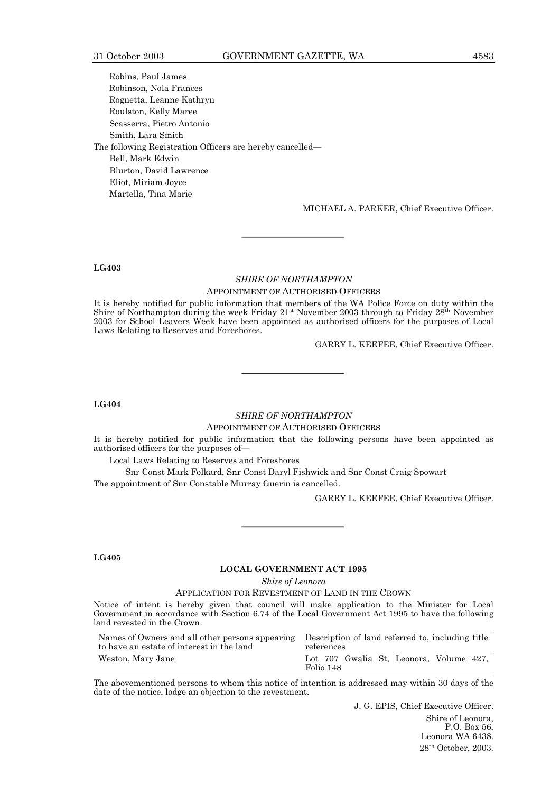Robins, Paul James Robinson, Nola Frances Rognetta, Leanne Kathryn Roulston, Kelly Maree Scasserra, Pietro Antonio Smith, Lara Smith The following Registration Officers are hereby cancelled— Bell, Mark Edwin Blurton, David Lawrence Eliot, Miriam Joyce Martella, Tina Marie

MICHAEL A. PARKER, Chief Executive Officer.

#### **LG403**

#### *SHIRE OF NORTHAMPTON* APPOINTMENT OF AUTHORISED OFFICERS

It is hereby notified for public information that members of the WA Police Force on duty within the Shire of Northampton during the week Friday 21<sup>st</sup> November 2003 through to Friday 28<sup>th</sup> November 2003 for School Leavers Week have been appointed as authorised officers for the purposes of Local Laws Relating to Reserves and Foreshores.

GARRY L. KEEFEE, Chief Executive Officer.

#### **LG404**

#### *SHIRE OF NORTHAMPTON* APPOINTMENT OF AUTHORISED OFFICERS

It is hereby notified for public information that the following persons have been appointed as authorised officers for the purposes of-

Local Laws Relating to Reserves and Foreshores

Snr Const Mark Folkard, Snr Const Daryl Fishwick and Snr Const Craig Spowart The appointment of Snr Constable Murray Guerin is cancelled.

GARRY L. KEEFEE, Chief Executive Officer.

#### **LG405**

#### **LOCAL GOVERNMENT ACT 1995**

*Shire of Leonora*

APPLICATION FOR REVESTMENT OF LAND IN THE CROWN

Notice of intent is hereby given that council will make application to the Minister for Local Government in accordance with Section 6.74 of the Local Government Act 1995 to have the following land revested in the Crown.

| Names of Owners and all other persons appearing Description of land referred to, including title<br>to have an estate of interest in the land | references                                           |
|-----------------------------------------------------------------------------------------------------------------------------------------------|------------------------------------------------------|
| Weston, Mary Jane                                                                                                                             | Lot 707 Gwalia St. Leonora. Volume 427.<br>Folio 148 |

The abovementioned persons to whom this notice of intention is addressed may within 30 days of the date of the notice, lodge an objection to the revestment.

> J. G. EPIS, Chief Executive Officer. Shire of Leonora, P.O. Box 56, Leonora WA 6438. 28th October, 2003.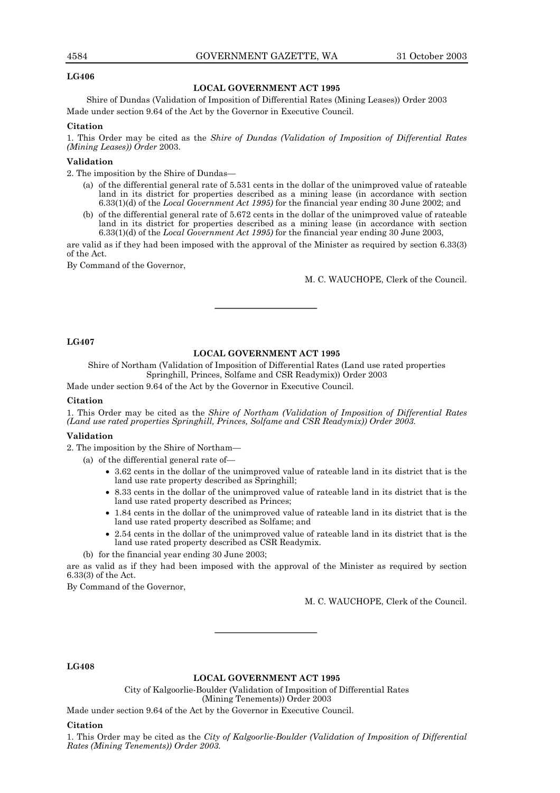#### 4584 GOVERNMENT GAZETTE, WA 31 October 2003

#### **LG406**

#### **LOCAL GOVERNMENT ACT 1995**

Shire of Dundas (Validation of Imposition of Differential Rates (Mining Leases)) Order 2003 Made under section 9.64 of the Act by the Governor in Executive Council.

#### **Citation**

1. This Order may be cited as the *Shire of Dundas (Validation of Imposition of Differential Rates (Mining Leases)) Order* 2003.

### **Validation**

2. The imposition by the Shire of Dundas—

- (a) of the differential general rate of 5.531 cents in the dollar of the unimproved value of rateable land in its district for properties described as a mining lease (in accordance with section 6.33(1)(d) of the *Local Government Act 1995)* for the financial year ending 30 June 2002; and
- (b) of the differential general rate of 5.672 cents in the dollar of the unimproved value of rateable land in its district for properties described as a mining lease (in accordance with section 6.33(1)(d) of the *Local Government Act 1995)* for the financial year ending 30 June 2003,

are valid as if they had been imposed with the approval of the Minister as required by section 6.33(3) of the Act.

By Command of the Governor,

M. C. WAUCHOPE, Clerk of the Council.

#### **LG407**

#### **LOCAL GOVERNMENT ACT 1995**

Shire of Northam (Validation of Imposition of Differential Rates (Land use rated properties Springhill, Princes, Solfame and CSR Readymix)) Order 2003

Made under section 9.64 of the Act by the Governor in Executive Council.

#### **Citation**

1. This Order may be cited as the *Shire of Northam (Validation of Imposition of Differential Rates (Land use rated properties Springhill, Princes, Solfame and CSR Readymix)) Order 2003.*

#### **Validation**

2. The imposition by the Shire of Northam-

- (a) of the differential general rate of $-$ 
	- 3.62 cents in the dollar of the unimproved value of rateable land in its district that is the land use rate property described as Springhill;
	- 8.33 cents in the dollar of the unimproved value of rateable land in its district that is the land use rated property described as Princes;
	- 1.84 cents in the dollar of the unimproved value of rateable land in its district that is the land use rated property described as Solfame; and
	- 2.54 cents in the dollar of the unimproved value of rateable land in its district that is the land use rated property described as CSR Readymix.
	- (b) for the financial year ending 30 June 2003;

are as valid as if they had been imposed with the approval of the Minister as required by section 6.33(3) of the Act.

By Command of the Governor,

M. C. WAUCHOPE, Clerk of the Council.

**LG408**

#### **LOCAL GOVERNMENT ACT 1995**

City of Kalgoorlie-Boulder (Validation of Imposition of Differential Rates (Mining Tenements)) Order 2003

Made under section 9.64 of the Act by the Governor in Executive Council.

#### **Citation**

1. This Order may be cited as the *City of Kalgoorlie-Boulder (Validation of Imposition of Differential Rates (Mining Tenements)) Order 2003.*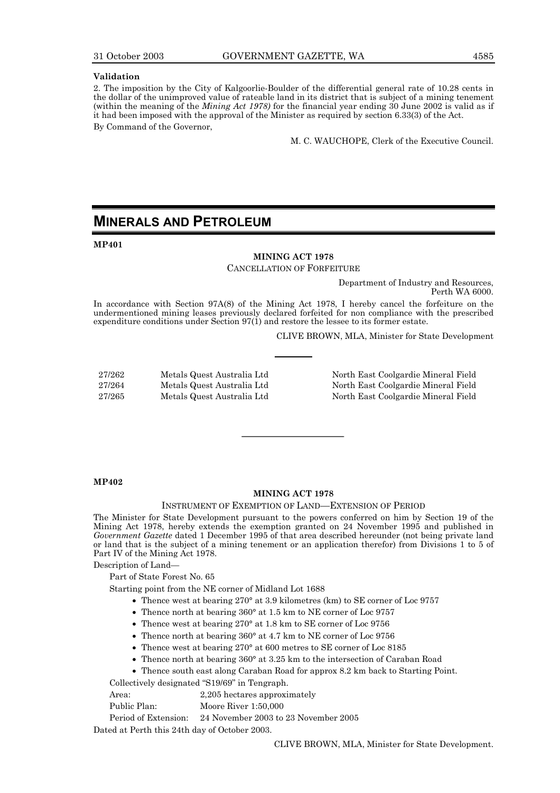#### **Validation**

2. The imposition by the City of Kalgoorlie-Boulder of the differential general rate of 10.28 cents in the dollar of the unimproved value of rateable land in its district that is subject of a mining tenement (within the meaning of the *Mining Act 1978)* for the financial year ending 30 June 2002 is valid as if it had been imposed with the approval of the Minister as required by section 6.33(3) of the Act.

By Command of the Governor,

M. C. WAUCHOPE, Clerk of the Executive Council.

### **MINERALS AND PETROLEUM**

**MP401**

#### **MINING ACT 1978** CANCELLATION OF FORFEITURE

Department of Industry and Resources, Perth WA 6000.

In accordance with Section 97A(8) of the Mining Act 1978, I hereby cancel the forfeiture on the undermentioned mining leases previously declared forfeited for non compliance with the prescribed expenditure conditions under Section 97(1) and restore the lessee to its former estate.

CLIVE BROWN, MLA, Minister for State Development

| 27/262 | Metals Quest Australia Ltd |
|--------|----------------------------|
| 27/264 | Metals Quest Australia Ltd |
| 27/265 | Metals Quest Australia Ltd |

North East Coolgardie Mineral Field North East Coolgardie Mineral Field North East Coolgardie Mineral Field

#### **MP402**

#### **MINING ACT 1978**

#### INSTRUMENT OF EXEMPTION OF LAND-EXTENSION OF PERIOD

The Minister for State Development pursuant to the powers conferred on him by Section 19 of the Mining Act 1978, hereby extends the exemption granted on 24 November 1995 and published in *Government Gazette* dated 1 December 1995 of that area described hereunder (not being private land or land that is the subject of a mining tenement or an application therefor) from Divisions 1 to 5 of Part IV of the Mining Act 1978.

Description of Land-

Part of State Forest No. 65

Starting point from the NE corner of Midland Lot 1688

- Thence west at bearing 270° at 3.9 kilometres (km) to SE corner of Loc 9757
- Thence north at bearing 360° at 1.5 km to NE corner of Loc 9757
- Thence west at bearing 270° at 1.8 km to SE corner of Loc 9756
- Thence north at bearing 360° at 4.7 km to NE corner of Loc 9756
- Thence west at bearing 270° at 600 metres to SE corner of Loc 8185
- Thence north at bearing 360° at 3.25 km to the intersection of Caraban Road
- Thence south east along Caraban Road for approx 8.2 km back to Starting Point.

Collectively designated "S19/69" in Tengraph.

- Area: 2,205 hectares approximately
- Public Plan: Moore River 1:50,000

Period of Extension: 24 November 2003 to 23 November 2005

Dated at Perth this 24th day of October 2003.

CLIVE BROWN, MLA, Minister for State Development.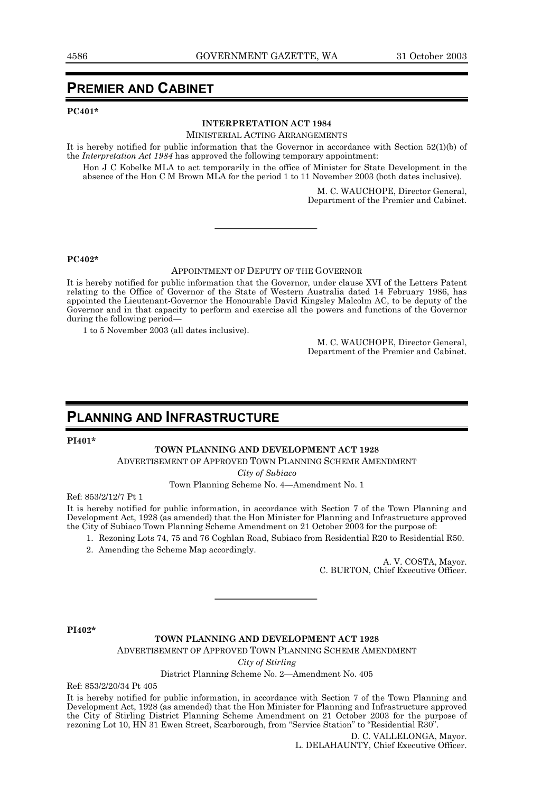### **PREMIER AND CABINET**

#### **PC401\***

#### **INTERPRETATION ACT 1984**

MINISTERIAL ACTING ARRANGEMENTS

It is hereby notified for public information that the Governor in accordance with Section 52(1)(b) of the *Interpretation Act 1984* has approved the following temporary appointment:

Hon J C Kobelke MLA to act temporarily in the office of Minister for State Development in the absence of the Hon C M Brown MLA for the period 1 to 11 November 2003 (both dates inclusive).

> M. C. WAUCHOPE, Director General, Department of the Premier and Cabinet.

**PC402\***

#### APPOINTMENT OF DEPUTY OF THE GOVERNOR

It is hereby notified for public information that the Governor, under clause XVI of the Letters Patent relating to the Office of Governor of the State of Western Australia dated 14 February 1986, has appointed the Lieutenant-Governor the Honourable David Kingsley Malcolm AC, to be deputy of the Governor and in that capacity to perform and exercise all the powers and functions of the Governor during the following period-

1 to 5 November 2003 (all dates inclusive).

M. C. WAUCHOPE, Director General, Department of the Premier and Cabinet.

### **PLANNING AND INFRASTRUCTURE**

#### **PI401\***

#### **TOWN PLANNING AND DEVELOPMENT ACT 1928**

ADVERTISEMENT OF APPROVED TOWN PLANNING SCHEME AMENDMENT

*City of Subiaco*

Town Planning Scheme No. 4–Amendment No. 1

Ref: 853/2/12/7 Pt 1

It is hereby notified for public information, in accordance with Section 7 of the Town Planning and Development Act, 1928 (as amended) that the Hon Minister for Planning and Infrastructure approved the City of Subiaco Town Planning Scheme Amendment on 21 October 2003 for the purpose of:

- 1. Rezoning Lots 74, 75 and 76 Coghlan Road, Subiaco from Residential R20 to Residential R50.
- 2. Amending the Scheme Map accordingly.

A. V. COSTA, Mayor. C. BURTON, Chief Executive Officer.

**PI402\***

#### **TOWN PLANNING AND DEVELOPMENT ACT 1928**

ADVERTISEMENT OF APPROVED TOWN PLANNING SCHEME AMENDMENT

*City of Stirling*

#### District Planning Scheme No. 2-Amendment No. 405

Ref: 853/2/20/34 Pt 405

It is hereby notified for public information, in accordance with Section 7 of the Town Planning and Development Act, 1928 (as amended) that the Hon Minister for Planning and Infrastructure approved the City of Stirling District Planning Scheme Amendment on 21 October 2003 for the purpose of rezoning Lot 10, HN 31 Ewen Street, Scarborough, from "Service Station" to "Residential R30".

> D. C. VALLELONGA, Mayor. L. DELAHAUNTY, Chief Executive Officer.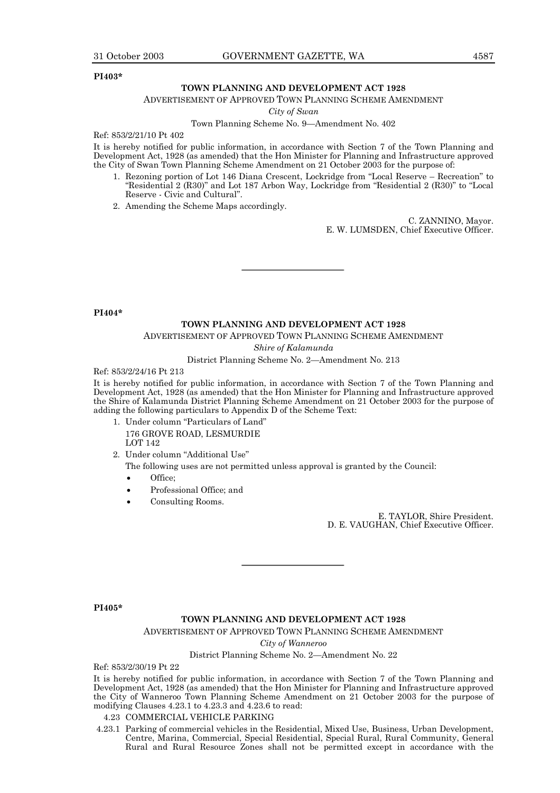#### **PI403\***

#### **TOWN PLANNING AND DEVELOPMENT ACT 1928**

ADVERTISEMENT OF APPROVED TOWN PLANNING SCHEME AMENDMENT

*City of Swan*

Town Planning Scheme No. 9–Amendment No. 402

Ref: 853/2/21/10 Pt 402

It is hereby notified for public information, in accordance with Section 7 of the Town Planning and Development Act, 1928 (as amended) that the Hon Minister for Planning and Infrastructure approved the City of Swan Town Planning Scheme Amendment on 21 October 2003 for the purpose of:

- 1. Rezoning portion of Lot 146 Diana Crescent, Lockridge from "Local Reserve Recreation" to "Residential 2 (R30)" and Lot 187 Arbon Way, Lockridge from "Residential 2 (R30)" to "Local Reserve - Civic and Cultural".
- 2. Amending the Scheme Maps accordingly.

C. ZANNINO, Mayor. E. W. LUMSDEN, Chief Executive Officer.

**PI404\***

#### **TOWN PLANNING AND DEVELOPMENT ACT 1928**

ADVERTISEMENT OF APPROVED TOWN PLANNING SCHEME AMENDMENT

*Shire of Kalamunda*

District Planning Scheme No. 2-Amendment No. 213

Ref: 853/2/24/16 Pt 213

It is hereby notified for public information, in accordance with Section 7 of the Town Planning and Development Act, 1928 (as amended) that the Hon Minister for Planning and Infrastructure approved the Shire of Kalamunda District Planning Scheme Amendment on 21 October 2003 for the purpose of adding the following particulars to Appendix D of the Scheme Text:

- 1. Under column "Particulars of Land" 176 GROVE ROAD, LESMURDIE **LOT 142**
- 2. Under column "Additional Use"

The following uses are not permitted unless approval is granted by the Council:

- Office:
- Professional Office; and
- Consulting Rooms.

E. TAYLOR, Shire President. D. E. VAUGHAN, Chief Executive Officer.

**PI405\***

#### **TOWN PLANNING AND DEVELOPMENT ACT 1928**

ADVERTISEMENT OF APPROVED TOWN PLANNING SCHEME AMENDMENT

*City of Wanneroo*

#### District Planning Scheme No. 2–Amendment No. 22

Ref: 853/2/30/19 Pt 22

It is hereby notified for public information, in accordance with Section 7 of the Town Planning and Development Act, 1928 (as amended) that the Hon Minister for Planning and Infrastructure approved the City of Wanneroo Town Planning Scheme Amendment on 21 October 2003 for the purpose of modifying Clauses 4.23.1 to 4.23.3 and 4.23.6 to read:

#### 4.23 COMMERCIAL VEHICLE PARKING

4.23.1 Parking of commercial vehicles in the Residential, Mixed Use, Business, Urban Development, Centre, Marina, Commercial, Special Residential, Special Rural, Rural Community, General Rural and Rural Resource Zones shall not be permitted except in accordance with the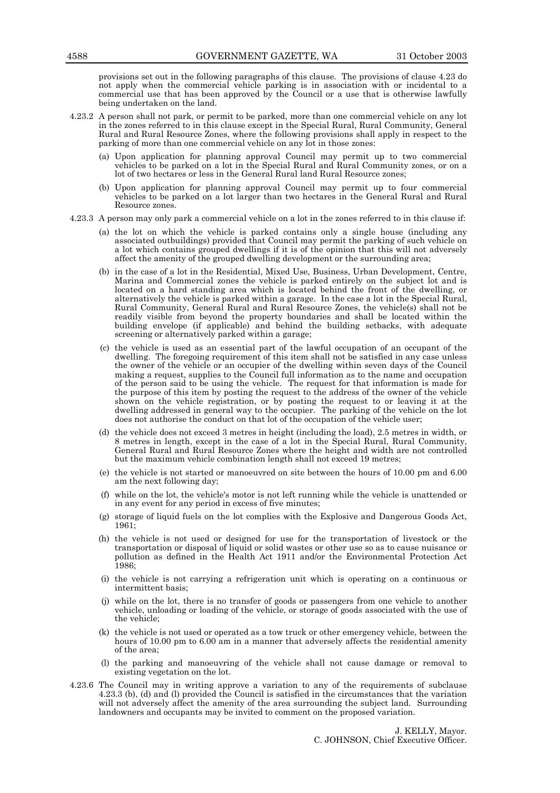provisions set out in the following paragraphs of this clause. The provisions of clause 4.23 do not apply when the commercial vehicle parking is in association with or incidental to a commercial use that has been approved by the Council or a use that is otherwise lawfully being undertaken on the land.

- 4.23.2 A person shall not park, or permit to be parked, more than one commercial vehicle on any lot in the zones referred to in this clause except in the Special Rural, Rural Community, General Rural and Rural Resource Zones, where the following provisions shall apply in respect to the parking of more than one commercial vehicle on any lot in those zones:
	- (a) Upon application for planning approval Council may permit up to two commercial vehicles to be parked on a lot in the Special Rural and Rural Community zones, or on a lot of two hectares or less in the General Rural land Rural Resource zones;
	- (b) Upon application for planning approval Council may permit up to four commercial vehicles to be parked on a lot larger than two hectares in the General Rural and Rural Resource zones.
- 4.23.3 A person may only park a commercial vehicle on a lot in the zones referred to in this clause if:
	- (a) the lot on which the vehicle is parked contains only a single house (including any associated outbuildings) provided that Council may permit the parking of such vehicle on a lot which contains grouped dwellings if it is of the opinion that this will not adversely affect the amenity of the grouped dwelling development or the surrounding area;
	- (b) in the case of a lot in the Residential, Mixed Use, Business, Urban Development, Centre, Marina and Commercial zones the vehicle is parked entirely on the subject lot and is located on a hard standing area which is located behind the front of the dwelling, or alternatively the vehicle is parked within a garage. In the case a lot in the Special Rural, Rural Community, General Rural and Rural Resource Zones, the vehicle(s) shall not be readily visible from beyond the property boundaries and shall be located within the building envelope (if applicable) and behind the building setbacks, with adequate screening or alternatively parked within a garage;
	- (c) the vehicle is used as an essential part of the lawful occupation of an occupant of the dwelling. The foregoing requirement of this item shall not be satisfied in any case unless the owner of the vehicle or an occupier of the dwelling within seven days of the Council making a request, supplies to the Council full information as to the name and occupation of the person said to be using the vehicle. The request for that information is made for the purpose of this item by posting the request to the address of the owner of the vehicle shown on the vehicle registration, or by posting the request to or leaving it at the dwelling addressed in general way to the occupier. The parking of the vehicle on the lot does not authorise the conduct on that lot of the occupation of the vehicle user;
	- (d) the vehicle does not exceed 3 metres in height (including the load), 2.5 metres in width, or 8 metres in length, except in the case of a lot in the Special Rural, Rural Community, General Rural and Rural Resource Zones where the height and width are not controlled but the maximum vehicle combination length shall not exceed 19 metres;
	- (e) the vehicle is not started or manoeuvred on site between the hours of 10.00 pm and 6.00 am the next following day;
	- (f) while on the lot, the vehicle's motor is not left running while the vehicle is unattended or in any event for any period in excess of five minutes;
	- (g) storage of liquid fuels on the lot complies with the Explosive and Dangerous Goods Act, 1961;
	- (h) the vehicle is not used or designed for use for the transportation of livestock or the transportation or disposal of liquid or solid wastes or other use so as to cause nuisance or pollution as defined in the Health Act 1911 and/or the Environmental Protection Act 1986;
	- (i) the vehicle is not carrying a refrigeration unit which is operating on a continuous or intermittent basis;
	- (j) while on the lot, there is no transfer of goods or passengers from one vehicle to another vehicle, unloading or loading of the vehicle, or storage of goods associated with the use of the vehicle;
	- (k) the vehicle is not used or operated as a tow truck or other emergency vehicle, between the hours of 10.00 pm to 6.00 am in a manner that adversely affects the residential amenity of the area;
	- (l) the parking and manoeuvring of the vehicle shall not cause damage or removal to existing vegetation on the lot.
- 4.23.6 The Council may in writing approve a variation to any of the requirements of subclause 4.23.3 (b), (d) and (l) provided the Council is satisfied in the circumstances that the variation will not adversely affect the amenity of the area surrounding the subject land. Surrounding landowners and occupants may be invited to comment on the proposed variation.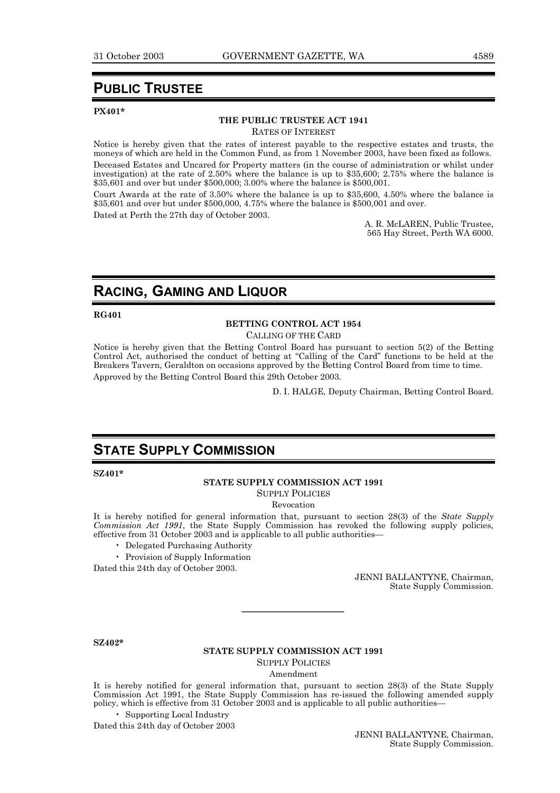### **PUBLIC TRUSTEE**

#### **PX401\***

#### **THE PUBLIC TRUSTEE ACT 1941**

RATES OF INTEREST

Notice is hereby given that the rates of interest payable to the respective estates and trusts, the moneys of which are held in the Common Fund, as from 1 November 2003, have been fixed as follows.

Deceased Estates and Uncared for Property matters (in the course of administration or whilst under investigation) at the rate of 2.50% where the balance is up to \$35,600; 2.75% where the balance is \$35,601 and over but under \$500,000; 3.00% where the balance is \$500,001.

Court Awards at the rate of 3.50% where the balance is up to \$35,600, 4.50% where the balance is \$35,601 and over but under \$500,000, 4.75% where the balance is \$500,001 and over.

Dated at Perth the 27th day of October 2003.

A. R. McLAREN, Public Trustee, 565 Hay Street, Perth WA 6000.

### **RACING, GAMING AND LIQUOR**

#### **RG401**

#### **BETTING CONTROL ACT 1954**

CALLING OF THE CARD

Notice is hereby given that the Betting Control Board has pursuant to section 5(2) of the Betting Control Act, authorised the conduct of betting at "Calling of the Card" functions to be held at the Breakers Tavern, Geraldton on occasions approved by the Betting Control Board from time to time. Approved by the Betting Control Board this 29th October 2003.

D. I. HALGE, Deputy Chairman, Betting Control Board.

### **STATE SUPPLY COMMISSION**

**SZ401\***

#### **STATE SUPPLY COMMISSION ACT 1991**

SUPPLY POLICIES

Revocation

It is hereby notified for general information that, pursuant to section 28(3) of the *State Supply Commission Act 1991*, the State Supply Commission has revoked the following supply policies, effective from 31 October 2003 and is applicable to all public authorities—

- Delegated Purchasing Authority
- Provision of Supply Information

Dated this 24th day of October 2003.

JENNI BALLANTYNE, Chairman, State Supply Commission.

**SZ402\***

#### **STATE SUPPLY COMMISSION ACT 1991**

SUPPLY POLICIES

Amendment

It is hereby notified for general information that, pursuant to section 28(3) of the State Supply Commission Act 1991, the State Supply Commission has re-issued the following amended supply policy, which is effective from 31 October 2003 and is applicable to all public authorities—

**Supporting Local Industry** 

Dated this 24th day of October 2003

JENNI BALLANTYNE, Chairman, State Supply Commission.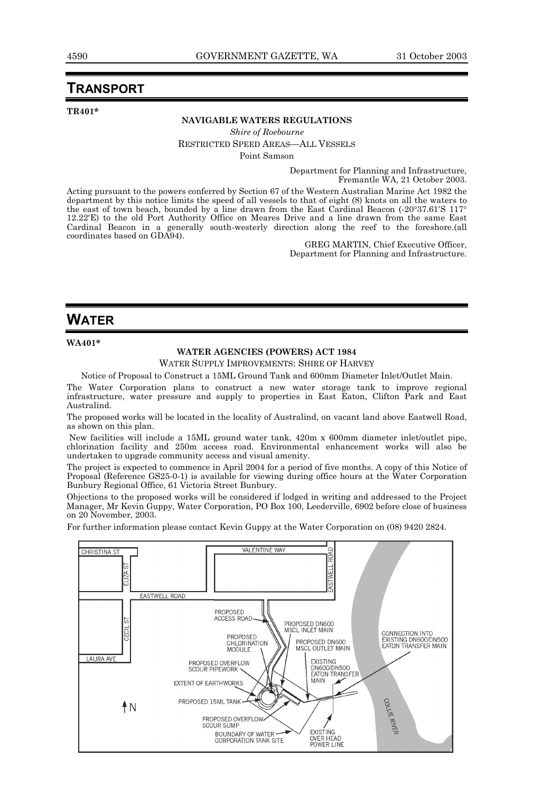### **TRANSPORT**

**TR401\***

### **NAVIGABLE WATERS REGULATIONS**

*Shire of Roebourne* RESTRICTED SPEED AREAS—ALL VESSELS

Point Samson

Department for Planning and Infrastructure, Fremantle WA, 21 October 2003.

Acting pursuant to the powers conferred by Section 67 of the Western Australian Marine Act 1982 the department by this notice limits the speed of all vessels to that of eight (8) knots on all the waters to the east of town beach, bounded by a line drawn from the East Cardinal Beacon (-20°37.61′S 117° 12.22′E) to the old Port Authority Office on Meares Drive and a line drawn from the same East Cardinal Beacon in a generally south-westerly direction along the reef to the foreshore.(all coordinates based on GDA94).

GREG MARTIN, Chief Executive Officer, Department for Planning and Infrastructure.

### **WATER**

**WA401\***

#### **WATER AGENCIES (POWERS) ACT 1984**

WATER SUPPLY IMPROVEMENTS: SHIRE OF HARVEY

Notice of Proposal to Construct a 15ML Ground Tank and 600mm Diameter Inlet/Outlet Main.

The Water Corporation plans to construct a new water storage tank to improve regional infrastructure, water pressure and supply to properties in East Eaton, Clifton Park and East Australind.

The proposed works will be located in the locality of Australind, on vacant land above Eastwell Road, as shown on this plan.

 New facilities will include a 15ML ground water tank, 420m x 600mm diameter inlet/outlet pipe, chlorination facility and 250m access road. Environmental enhancement works will also be undertaken to upgrade community access and visual amenity.

The project is expected to commence in April 2004 for a period of five months. A copy of this Notice of Proposal (Reference GS25-0-1) is available for viewing during office hours at the Water Corporation Bunbury Regional Office, 61 Victoria Street Bunbury.

Objections to the proposed works will be considered if lodged in writing and addressed to the Project Manager, Mr Kevin Guppy, Water Corporation, PO Box 100, Leederville, 6902 before close of business on 20 November, 2003.

For further information please contact Kevin Guppy at the Water Corporation on (08) 9420 2824.

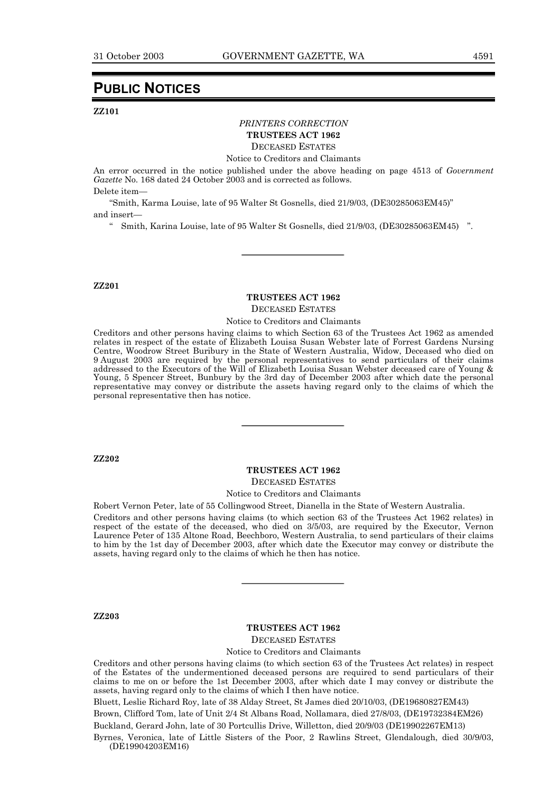### **PUBLIC NOTICES**

#### **ZZ101**

#### *PRINTERS CORRECTION* **TRUSTEES ACT 1962**

DECEASED ESTATES

Notice to Creditors and Claimants

An error occurred in the notice published under the above heading on page 4513 of *Government Gazette* No. 168 dated 24 October 2003 and is corrected as follows.

Delete item-

<sup>"</sup>Smith, Karma Louise, late of 95 Walter St Gosnells, died 21/9/03, (DE30285063EM45)" and insert-

<sup>"</sup> Smith, Karina Louise, late of 95 Walter St Gosnells, died 21/9/03, (DE30285063EM45)<sup>"</sup>.

#### **ZZ201**

### **TRUSTEES ACT 1962**

DECEASED ESTATES

Notice to Creditors and Claimants

Creditors and other persons having claims to which Section 63 of the Trustees Act 1962 as amended relates in respect of the estate of Elizabeth Louisa Susan Webster late of Forrest Gardens Nursing Centre, Woodrow Street Buribury in the State of Western Australia, Widow, Deceased who died on 9 August 2003 are required by the personal representatives to send particulars of their claims addressed to the Executors of the Will of Elizabeth Louisa Susan Webster deceased care of Young & Young, 5 Spencer Street, Bunbury by the 3rd day of December 2003 after which date the personal representative may convey or distribute the assets having regard only to the claims of which the personal representative then has notice.

**ZZ202**

### **TRUSTEES ACT 1962**

DECEASED ESTATES

Notice to Creditors and Claimants

Robert Vernon Peter, late of 55 Collingwood Street, Dianella in the State of Western Australia.

Creditors and other persons having claims (to which section 63 of the Trustees Act 1962 relates) in respect of the estate of the deceased, who died on 3/5/03, are required by the Executor, Vernon Laurence Peter of 135 Altone Road, Beechboro, Western Australia, to send particulars of their claims to him by the 1st day of December 2003, after which date the Executor may convey or distribute the assets, having regard only to the claims of which he then has notice.

**ZZ203**

#### **TRUSTEES ACT 1962**

DECEASED ESTATES

Notice to Creditors and Claimants

Creditors and other persons having claims (to which section 63 of the Trustees Act relates) in respect of the Estates of the undermentioned deceased persons are required to send particulars of their claims to me on or before the 1st December 2003, after which date I may convey or distribute the assets, having regard only to the claims of which I then have notice.

Bluett, Leslie Richard Roy, late of 38 Alday Street, St James died 20/10/03, (DE19680827EM43)

Brown, Clifford Tom, late of Unit 2/4 St Albans Road, Nollamara, died 27/8/03, (DE19732384EM26)

Buckland, Gerard John, late of 30 Portcullis Drive, Willetton, died 20/9/03 (DE19902267EM13)

Byrnes, Veronica, late of Little Sisters of the Poor, 2 Rawlins Street, Glendalough, died 30/9/03, (DE19904203EM16)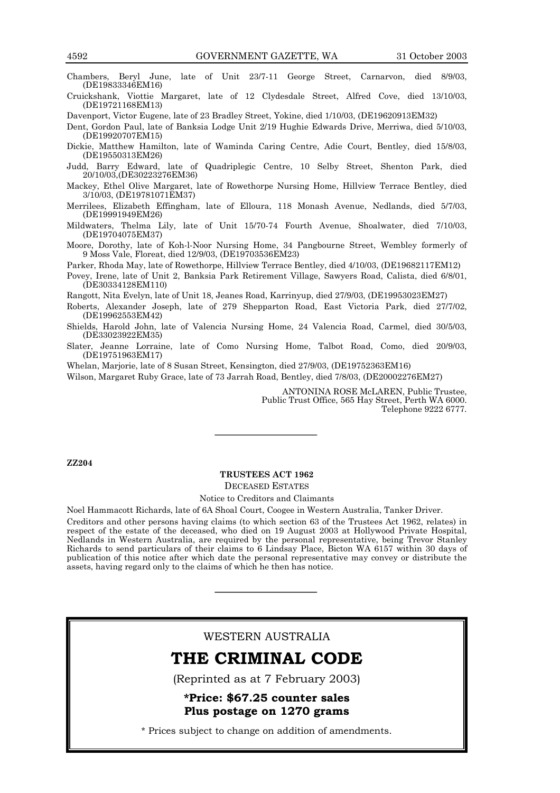Chambers, Beryl June, late of Unit 23/7-11 George Street, Carnarvon, died 8/9/03, (DE19833346EM16)

Cruickshank, Viottie Margaret, late of 12 Clydesdale Street, Alfred Cove, died 13/10/03, (DE19721168EM13)

Davenport, Victor Eugene, late of 23 Bradley Street, Yokine, died 1/10/03, (DE19620913EM32)

Dent, Gordon Paul, late of Banksia Lodge Unit 2/19 Hughie Edwards Drive, Merriwa, died 5/10/03, (DE19920707EM15)

Dickie, Matthew Hamilton, late of Waminda Caring Centre, Adie Court, Bentley, died 15/8/03, (DE19550313EM26)

- Judd, Barry Edward, late of Quadriplegic Centre, 10 Selby Street, Shenton Park, died 20/10/03,(DE30223276EM36)
- Mackey, Ethel Olive Margaret, late of Rowethorpe Nursing Home, Hillview Terrace Bentley, died 3/10/03, (DE19781071EM37)
- Merrilees, Elizabeth Effingham, late of Elloura, 118 Monash Avenue, Nedlands, died 5/7/03, (DE19991949EM26)
- Mildwaters, Thelma Lily, late of Unit 15/70-74 Fourth Avenue, Shoalwater, died 7/10/03, (DE19704075EM37)
- Moore, Dorothy, late of Koh-l-Noor Nursing Home, 34 Pangbourne Street, Wembley formerly of 9 Moss Vale, Floreat, died 12/9/03, (DE19703536EM23)

Parker, Rhoda May, late of Rowethorpe, Hillview Terrace Bentley, died 4/10/03, (DE19682117EM12)

Povey, Irene, late of Unit 2, Banksia Park Retirement Village, Sawyers Road, Calista, died 6/8/01, (DE30334128EM110)

Rangott, Nita Evelyn, late of Unit 18, Jeanes Road, Karrinyup, died 27/9/03, (DE19953023EM27)

- Roberts, Alexander Joseph, late of 279 Shepparton Road, East Victoria Park, died 27/7/02, (DE19962553EM42)
- Shields, Harold John, late of Valencia Nursing Home, 24 Valencia Road, Carmel, died 30/5/03, (DE33023922EM35)
- Slater, Jeanne Lorraine, late of Como Nursing Home, Talbot Road, Como, died 20/9/03, (DE19751963EM17)

Whelan, Marjorie, late of 8 Susan Street, Kensington, died 27/9/03, (DE19752363EM16)

Wilson, Margaret Ruby Grace, late of 73 Jarrah Road, Bentley, died 7/8/03, (DE20002276EM27)

ANTONINA ROSE McLAREN, Public Trustee, Public Trust Office, 565 Hay Street, Perth WA 6000. Telephone 9222 6777.

#### **ZZ204**

#### **TRUSTEES ACT 1962** DECEASED ESTATES Notice to Creditors and Claimants

Noel Hammacott Richards, late of 6A Shoal Court, Coogee in Western Australia, Tanker Driver. Creditors and other persons having claims (to which section 63 of the Trustees Act 1962, relates) in respect of the estate of the deceased, who died on 19 August 2003 at Hollywood Private Hospital, Nedlands in Western Australia, are required by the personal representative, being Trevor Stanley Richards to send particulars of their claims to 6 Lindsay Place, Bicton WA 6157 within 30 days of publication of this notice after which date the personal representative may convey or distribute the assets, having regard only to the claims of which he then has notice.

#### WESTERN AUSTRALIA

### THE CRIMINAL CODE

(Reprinted as at 7 February 2003)

\*Price: \$67.25 counter sales Plus postage on 1270 grams

\* Prices subject to change on addition of amendments.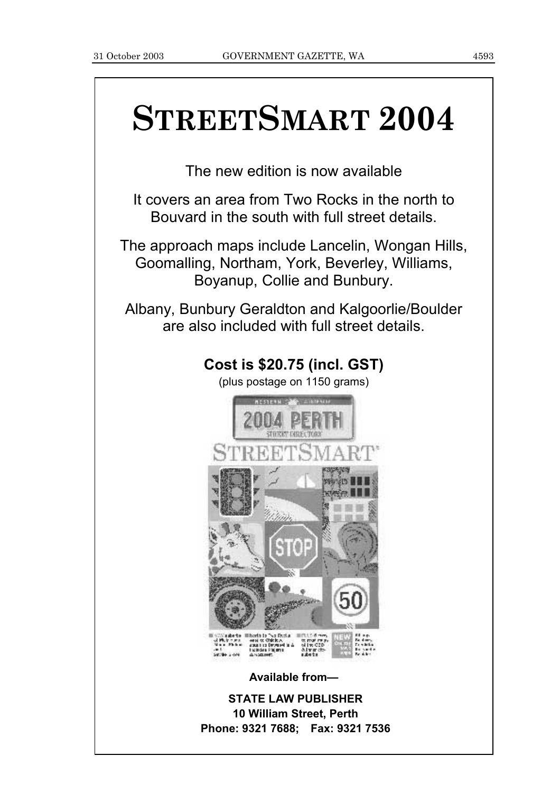# **STREETSMART 2004**

The new edition is now available

It covers an area from Two Rocks in the north to Bouvard in the south with full street details.

The approach maps include Lancelin, Wongan Hills, Goomalling, Northam, York, Beverley, Williams, Boyanup, Collie and Bunbury.

Albany, Bunbury Geraldton and Kalgoorlie/Boulder are also included with full street details.

### **Cost is \$20.75 (incl. GST)**

(plus postage on 1150 grams)



**Available from-**

**STATE LAW PUBLISHER 10 William Street, Perth Phone: 9321 7688; Fax: 9321 7536**